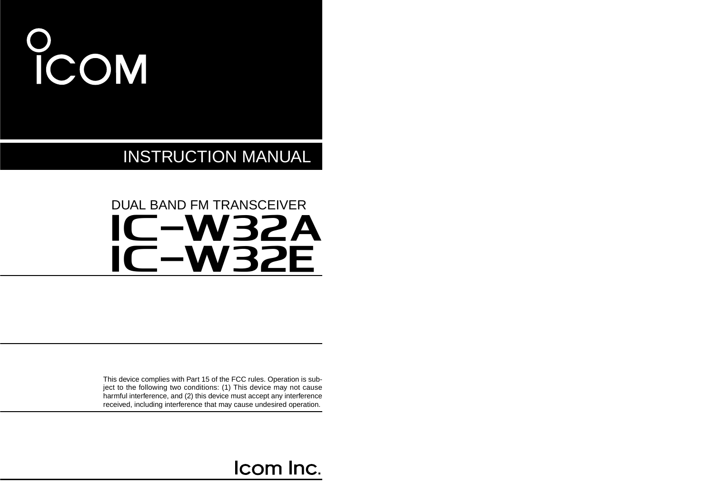# COM

INSTRUCTION MANUAL

## iC-w32a iC-w32e DUAL BAND FM TRANSCEIVER

This device complies with Part 15 of the FCC rules. Operation is subject to the following two conditions: (1) This device may not cause harmful interference, and (2) this device must accept any interference received, including interference that may cause undesired operation.

## Icom Inc.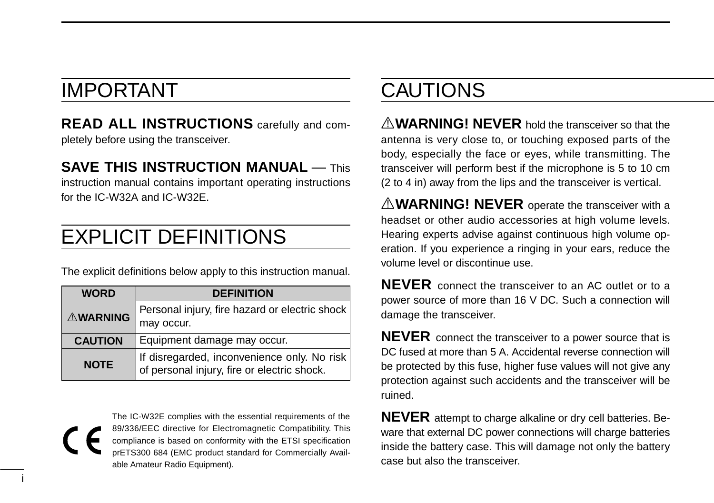## IMPORTANT

i

**READ ALL INSTRUCTIONS** carefully and completely before using the transceiver.

#### **SAVE THIS INSTRUCTION MANUAL — This**

instruction manual contains important operating instructions for the IC-W32A and IC-W32E.

## EXPLICIT DEFINITIONS

The explicit definitions below apply to this instruction manual.

| <b>WORD</b>     | <b>DEFINITION</b>                                                                          |  |  |  |  |  |
|-----------------|--------------------------------------------------------------------------------------------|--|--|--|--|--|
| <b>AWARNING</b> | Personal injury, fire hazard or electric shock<br>may occur.                               |  |  |  |  |  |
| <b>CAUTION</b>  | Equipment damage may occur.                                                                |  |  |  |  |  |
| <b>NOTE</b>     | If disregarded, inconvenience only. No risk<br>of personal injury, fire or electric shock. |  |  |  |  |  |

The IC-W32E complies with the essential requirements of the 89/336/EEC directive for Electromagnetic Compatibility. This compliance is based on conformity with the ETSI specification prETS300 684 (EMC product standard for Commercially Available Amateur Radio Equipment).

## CAUTIONS

R**WARNING! NEVER** hold the transceiver so that the antenna is very close to, or touching exposed parts of the body, especially the face or eyes, while transmitting. The transceiver will perform best if the microphone is 5 to 10 cm (2 to 4 in) away from the lips and the transceiver is vertical.

**AWARNING! NEVER** operate the transceiver with a headset or other audio accessories at high volume levels. Hearing experts advise against continuous high volume operation. If you experience a ringing in your ears, reduce the volume level or discontinue use.

**NEVER** connect the transceiver to an AC outlet or to a power source of more than 16 V DC. Such a connection will damage the transceiver.

**NEVER** connect the transceiver to a power source that is DC fused at more than 5 A. Accidental reverse connection will be protected by this fuse, higher fuse values will not give any protection against such accidents and the transceiver will be ruined.

**NEVER** attempt to charge alkaline or dry cell batteries. Beware that external DC power connections will charge batteries inside the battery case. This will damage not only the battery case but also the transceiver.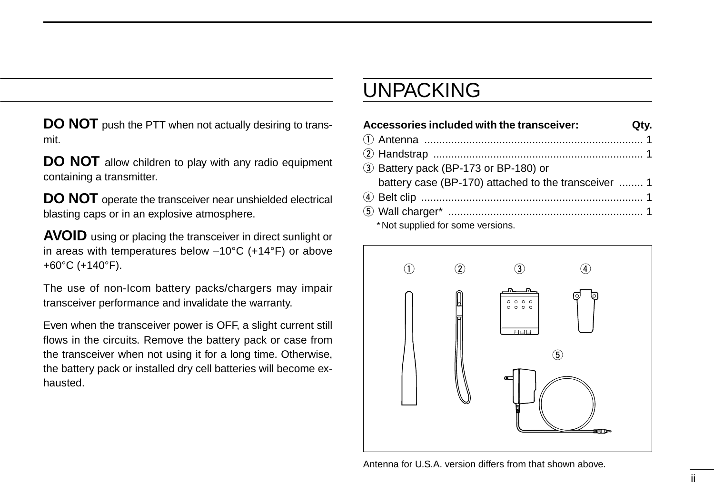**DO NOT** push the PTT when not actually desiring to transmit.

**DO NOT** allow children to play with any radio equipment containing a transmitter.

**DO NOT** operate the transceiver near unshielded electrical blasting caps or in an explosive atmosphere.

**AVOID** using or placing the transceiver in direct sunlight or in areas with temperatures below –10°C (+14°F) or above +60°C (+140°F).

The use of non-Icom battery packs/chargers may impair transceiver performance and invalidate the warranty.

Even when the transceiver power is OFF, a slight current still flows in the circuits. Remove the battery pack or case from the transceiver when not using it for a long time. Otherwise, the battery pack or installed dry cell batteries will become exhausted.

## UNPACKING

| Accessories included with the transceiver:           | Qtv. |
|------------------------------------------------------|------|
|                                                      |      |
|                                                      |      |
| 3 Battery pack (BP-173 or BP-180) or                 |      |
| battery case (BP-170) attached to the transceiver  1 |      |
|                                                      |      |
|                                                      |      |
| *Not supplied for some versions.                     |      |



Antenna for U.S.A. version differs from that shown above.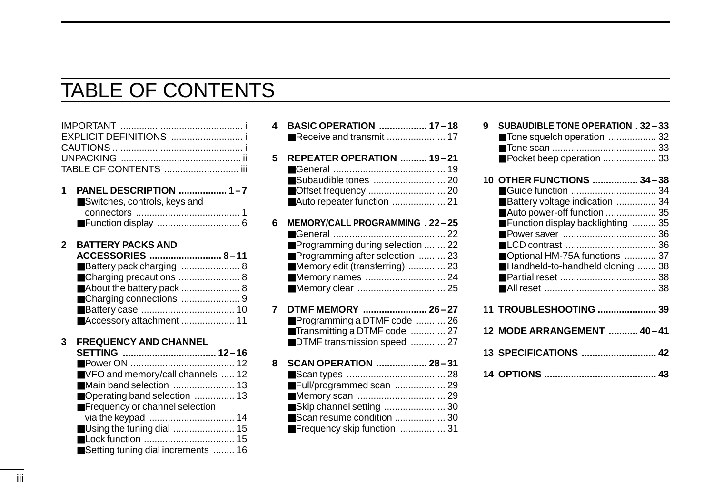## TABLE OF CONTENTS

|   | EXPLICIT DEFINITIONS<br>TABLE OF CONTENTS  iii                                                                                                                      |
|---|---------------------------------------------------------------------------------------------------------------------------------------------------------------------|
| 1 | PANEL DESCRIPTION  1-7<br>Switches, controls, keys and                                                                                                              |
| 2 | <b>BATTERY PACKS AND</b><br>ACCESSORIES  8-11<br>■ Battery pack charging  8<br>■ Charging precautions  8<br>About the battery pack  8<br>■ Accessory attachment  11 |
| 3 | <b>FREQUENCY AND CHANNEL</b><br>SETTING  12–16                                                                                                                      |

| ■ VFO and memory/call channels  12  |  |
|-------------------------------------|--|
| ■Main band selection  13            |  |
| ■ Operating band selection  13      |  |
| Frequency or channel selection      |  |
|                                     |  |
| ■ Using the tuning dial  15         |  |
|                                     |  |
| ■Setting tuning dial increments  16 |  |
|                                     |  |

| 4 | BASIC OPERATION  17-18           |  |
|---|----------------------------------|--|
|   | Receive and transmit  17         |  |
|   |                                  |  |
| 5 | REPEATER OPERATION  19-21        |  |
|   |                                  |  |
|   | Subaudible tones  20             |  |
|   |                                  |  |
|   | Auto repeater function  21       |  |
| 6 | MEMORY/CALL PROGRAMMING . 22-25  |  |
|   |                                  |  |
|   | Programming during selection  22 |  |
|   | Programming after selection  23  |  |
|   | Memory edit (transferring)  23   |  |
|   | Memory names  24                 |  |
|   |                                  |  |
|   |                                  |  |
| 7 | DTMF MEMORY  26-27               |  |
|   | Programming a DTMF code  26      |  |
|   | Transmitting a DTMF code  27     |  |
|   | DTMF transmission speed  27      |  |
|   |                                  |  |
| 8 | SCAN OPERATION  28-31            |  |
|   |                                  |  |
|   | Full/programmed scan  29         |  |
|   |                                  |  |
|   | Skip channel setting  30         |  |
|   | Scan resume condition  30        |  |
|   | Frequency skip function  31      |  |
|   |                                  |  |

| <b>SUBAUDIBLE TONE OPERATION . 32-33</b><br>g<br>Tone squelch operation  32<br>Pocket beep operation  33                                                                                                    |  |
|-------------------------------------------------------------------------------------------------------------------------------------------------------------------------------------------------------------|--|
| 10 OTHER FUNCTIONS  34-38<br>Battery voltage indication  34<br>■ Auto power-off function  35<br>■ Function display backlighting  35<br>■ Optional HM-75A functions  37<br>■Handheld-to-handheld cloning  38 |  |
|                                                                                                                                                                                                             |  |
| 11 TROUBLESHOOTING  39                                                                                                                                                                                      |  |
| 12 MODE ARRANGEMENT  40-41                                                                                                                                                                                  |  |
|                                                                                                                                                                                                             |  |
|                                                                                                                                                                                                             |  |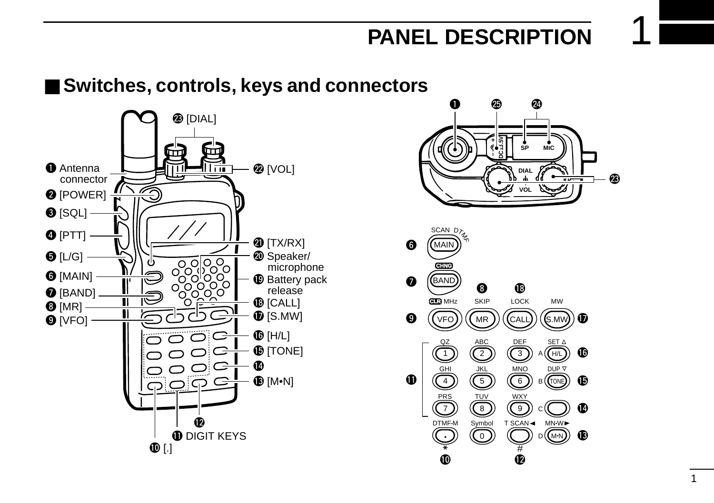## ■ Switches, controls, keys and connectors



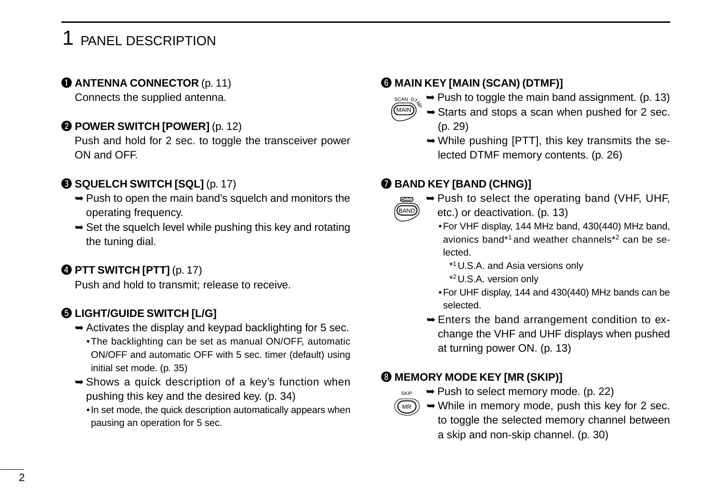#### **Q ANTENNA CONNECTOR** (p. 11)

Connects the supplied antenna.

#### **@ POWER SWITCH [POWER]** (p. 12)

Push and hold for 2 sec. to toggle the transceiver power ON and OFF.

#### **@ SQUELCH SWITCH [SQL]** (p. 17)

- ➥Push to open the main band's squelch and monitors the operating frequency.
- $\rightarrow$  Set the squelch level while pushing this key and rotating the tuning dial.

#### **@ PTT SWITCH [PTT] (p. 17)**

Push and hold to transmit; release to receive.

#### $\odot$  **LIGHT/GUIDE SWITCH [L/G]**

- $\rightarrow$  Activates the display and keypad backlighting for 5 sec.
	- •The backlighting can be set as manual ON/OFF, automatic ON/OFF and automatic OFF with 5 sec. timer (default) using initial set mode. (p. 35)
- $\rightarrow$  Shows a quick description of a key's function when pushing this key and the desired key. (p. 34)
	- •In set mode, the quick description automatically appears when pausing an operation for 5 sec.

#### **@ MAIN KEY [MAIN (SCAN) (DTMF)]**

- $\sum_{n=1}^{\text{SCAN D2}}$   $\rightarrow$  Push to toggle the main band assignment. (p. 13)
	- $\rightarrow$  Starts and stops a scan when pushed for 2 sec. (p. 29)
	- ➥While pushing [PTT], this key transmits the selected DTMF memory contents. (p. 26)

#### **@ BAND KEY [BAND (CHNG)]**



MAIN

SKIP

- ➥Push to select the operating band (VHF, UHF, etc.) or deactivation. (p. 13)
	- •For VHF display, 144 MHz band, 430(440) MHz band, avionics band\*1 and weather channels\*2 can be selected.
		- \*1U.S.A. and Asia versions only
		- \*2U.S.A. version only
	- •For UHF display, 144 and 430(440) MHz bands can be selected.
- ➥Enters the band arrangement condition to exchange the VHF and UHF displays when pushed at turning power ON. (p. 13)

#### **@ MEMORY MODE KEY [MR (SKIP)]**

- ➥Push to select memory mode. (p. 22)
- ➥While in memory mode, push this key for 2 sec. to toggle the selected memory channel between a skip and non-skip channel. (p. 30) MR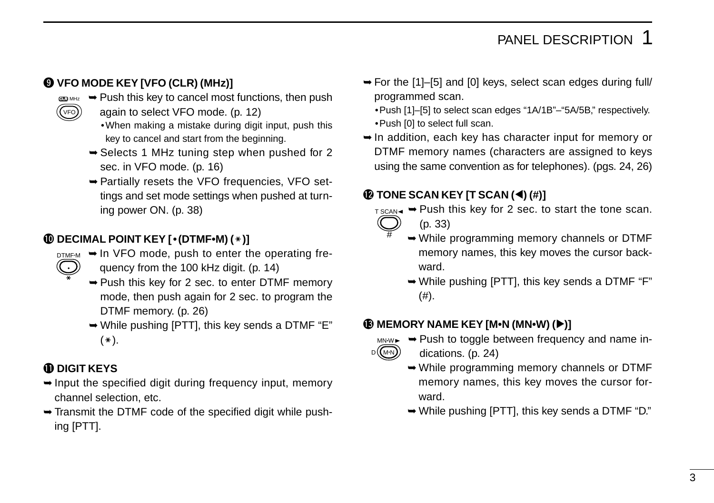#### o **VFO MODE KEY [VFO (CLR) (MHz)]**

- $\text{CD} \text{MHZ}$  $\rightarrow$  **Push this key to cancel most functions, then push** 
	- again to select VFO mode. (p. 12)
		- •When making a mistake during digit input, push this key to cancel and start from the beginning.
	- ➥Selects 1 MHz tuning step when pushed for 2 sec. in VFO mode. (p. 16)
	- ➥Partially resets the VFO frequencies, VFO settings and set mode settings when pushed at turning power ON. (p. 38)

#### **10 DECIMAL POINT KEY [ • (DTMF•M) ( \* )]**

- DTMFM ► In VFO mode, push to enter the operating fre
	- quency from the 100 kHz digit. (p. 14)
	- ➥Push this key for 2 sec. to enter DTMF memory mode, then push again for 2 sec. to program the DTMF memory. (p. 26)
	- ➥While pushing [PTT], this key sends a DTMF "E"  $(*).$

#### **1D DIGIT KEYS**

•  $\overline{\ast}$ 

VFO

- $\rightarrow$  Input the specified digit during frequency input, memory channel selection, etc.
- ➥Transmit the DTMF code of the specified digit while pushing [PTT].
- ➥For the [1]–[5] and [0] keys, select scan edges during full/ programmed scan.
	- •Push [1]–[5] to select scan edges "1A/1B"–"5A/5B," respectively. •Push [0] to select full scan.
- ➥In addition, each key has character input for memory or DTMF memory names (characters are assigned to keys using the same convention as for telephones). (pgs. 24, 26)

#### **10 TONE SCAN KEY [T SCAN (◀) (#)]**

- $TSCAN \rightarrow P$ ush this key for 2 sec. to start the tone scan.
- #
- (p. 33)
- ➥While programming memory channels or DTMF memory names, this key moves the cursor backward.
- ➥While pushing [PTT], this key sends a DTMF "F"  $(#).$

#### !3**MEMORY NAME KEY [M•N (MN•W) (**≈**)]**



- ➥Push to toggle between frequency and name indications. (p. 24)
- ➥While programming memory channels or DTMF memory names, this key moves the cursor forward.
- ➥While pushing [PTT], this key sends a DTMF "D."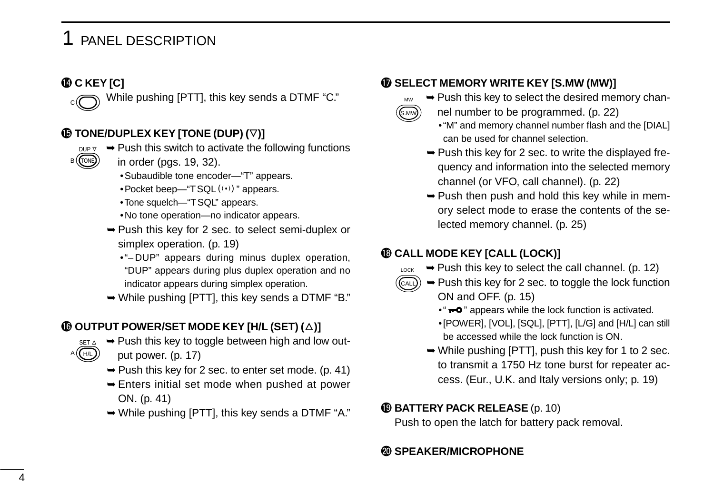#### !4**C KEY [C]**

C

TONE DUP  $\nabla$ B

A ((H/L

While pushing [PTT], this key sends a DTMF "C."

#### !5**TONE/DUPLEX KEY [TONE (DUP) (**K**)]**

- $\rightarrow$  Push this switch to activate the following functions
- in order (pgs. 19, 32).
	- •Subaudible tone encoder—"T" appears.
	- Pocket beep—" $TSQL(\cdot)$ " appears.
	- •Tone squelch—"TSQL" appears.
	- •No tone operation—no indicator appears.
- ➥Push this key for 2 sec. to select semi-duplex or simplex operation. (p. 19)
	- •"– DUP" appears during minus duplex operation, "DUP" appears during plus duplex operation and no indicator appears during simplex operation.
- ➥While pushing [PTT], this key sends a DTMF "B."

#### **16 OUTPUT POWER/SET MODE KEY [H/L (SET) (** $\triangle$ )]

- $\rightarrow$  Push this key to toggle between high and low output power. (p. 17) SET  $\Delta$ 
	- $\rightarrow$  Push this key for 2 sec. to enter set mode. (p. 41)
	- ➥Enters initial set mode when pushed at power ON. (p. 41)
	- ➥While pushing [PTT], this key sends a DTMF "A."

#### **10 SELECT MEMORY WRITE KEY [S.MW (MW)]**

- ➥Push this key to select the desired memory chan
	- nel number to be programmed. (p. 22)
	- •"M" and memory channel number flash and the [DIAL] can be used for channel selection.
	- ➥Push this key for 2 sec. to write the displayed frequency and information into the selected memory channel (or VFO, call channel). (p. 22)
	- ➥Push then push and hold this key while in memory select mode to erase the contents of the selected memory channel. (p. 25)

#### !8**CALL MODE KEY [CALL (LOCK)]**

 $(\mathsf{s}$ .mw $))$ MW

- $\rightarrow$  Push this key to select the call channel. (p. 12) LOCK
- $\rightarrow$  Push this key for 2 sec. to toggle the lock function ON and OFF. (p. 15) CALL
	- " $\rightarrow$ " appears while the lock function is activated. •[POWER], [VOL], [SQL], [PTT], [L/G] and [H/L] can still be accessed while the lock function is ON.
	- $\rightarrow$  While pushing [PTT], push this key for 1 to 2 sec. to transmit a 1750 Hz tone burst for repeater access. (Eur., U.K. and Italy versions only; p. 19)

#### !9**BATTERY PACK RELEASE** (p. 10)

Push to open the latch for battery pack removal.

#### @0**SPEAKER/MICROPHONE**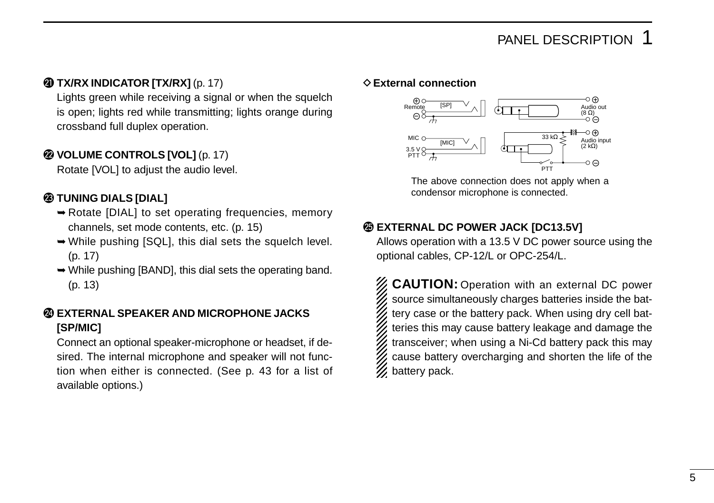#### @1**TX/RX INDICATOR [TX/RX]** (p. 17)

Lights green while receiving a signal or when the squelch is open; lights red while transmitting; lights orange during crossband full duplex operation.

#### @2**VOLUME CONTROLS [VOL]** (p. 17)

Rotate [VOL] to adjust the audio level.

#### @3**TUNING DIALS [DIAL]**

- ➥Rotate [DIAL] to set operating frequencies, memory channels, set mode contents, etc. (p. 15)
- ➥While pushing [SQL], this dial sets the squelch level. (p. 17)
- ➥While pushing [BAND], this dial sets the operating band. (p. 13)

#### @4**EXTERNAL SPEAKER AND MICROPHONE JACKS [SP/MIC]**

Connect an optional speaker-microphone or headset, if desired. The internal microphone and speaker will not function when either is connected. (See p. 43 for a list of available options.)

#### **♦ External connection**



The above connection does not apply when a condensor microphone is connected.

#### @5**EXTERNAL DC POWER JACK [DC13.5V]**

Allows operation with a 13.5 V DC power source using the optional cables, CP-12/L or OPC-254/L.

**CAUTION:** Operation with an external DC power source simultaneously charges batteries inside the battery case or the battery pack. When using dry cell batteries this may cause battery leakage and damage the transceiver; when using a Ni-Cd battery pack this may cause battery overcharging and shorten the life of the battery pack.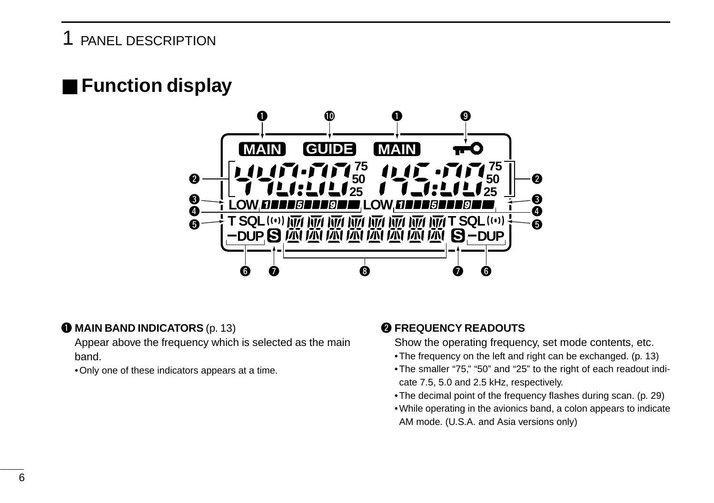## ■ **Function display**



#### q **MAIN BAND INDICATORS** (p. 13)

Appear above the frequency which is selected as the main band.

•Only one of these indicators appears at a time.

#### **@ FREQUENCY READOUTS**

Show the operating frequency, set mode contents, etc.

- •The frequency on the left and right can be exchanged. (p. 13)
- •The smaller "75," "50" and "25" to the right of each readout indicate 7.5, 5.0 and 2.5 kHz, respectively.
- •The decimal point of the frequency flashes during scan. (p. 29)
- •While operating in the avionics band, a colon appears to indicate AM mode. (U.S.A. and Asia versions only)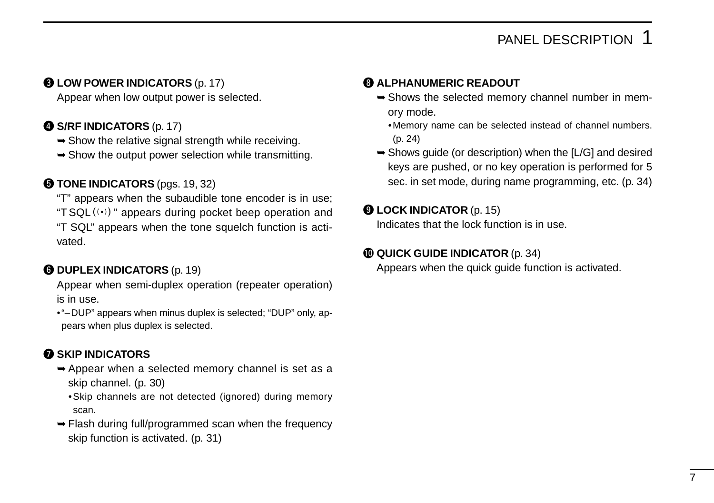#### **@ LOW POWER INDICATORS (p. 17)**

Appear when low output power is selected.

#### **@ S/RF INDICATORS (p. 17)**

- $\rightarrow$  Show the relative signal strength while receiving.
- $\rightarrow$  Show the output power selection while transmitting.

#### **TONE INDICATORS** (pgs. 19, 32)

"T" appears when the subaudible tone encoder is in use; "T SQL $((\cdot))$ " appears during pocket beep operation and "T SQL" appears when the tone squelch function is activated.

#### **@ DUPLEX INDICATORS (p. 19)**

Appear when semi-duplex operation (repeater operation) is in use.

•"–DUP" appears when minus duplex is selected; "DUP" only, appears when plus duplex is selected.

#### **O** SKIP INDICATORS

- ➥Appear when a selected memory channel is set as a skip channel. (p. 30)
	- •Skip channels are not detected (ignored) during memory scan.
- ➥Flash during full/programmed scan when the frequency skip function is activated. (p. 31)

#### **@ ALPHANUMERIC READOUT**

- ➥Shows the selected memory channel number in memory mode.
	- •Memory name can be selected instead of channel numbers. (p. 24)
- $\rightarrow$  Shows guide (or description) when the [L/G] and desired keys are pushed, or no key operation is performed for 5 sec. in set mode, during name programming, etc. (p. 34)

#### o **LOCK INDICATOR** (p. 15)

Indicates that the lock function is in use.

#### !0**QUICK GUIDE INDICATOR** (p. 34)

Appears when the quick guide function is activated.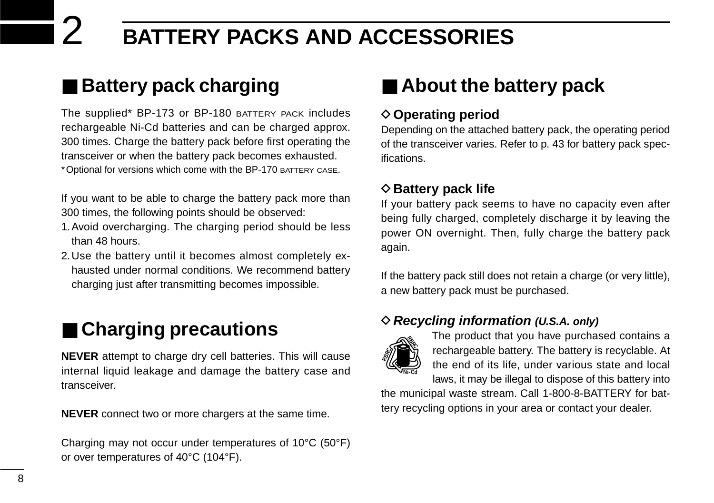## ■ **Battery pack charging**

The supplied\* BP-173 or BP-180 BATTERY PACK includes rechargeable Ni-Cd batteries and can be charged approx. 300 times. Charge the battery pack before first operating the transceiver or when the battery pack becomes exhausted. \*Optional for versions which come with the BP-170 BATTERY CASE.

If you want to be able to charge the battery pack more than 300 times, the following points should be observed:

- 1.Avoid overcharging. The charging period should be less than 48 hours.
- 2.Use the battery until it becomes almost completely exhausted under normal conditions. We recommend battery charging just after transmitting becomes impossible.

## ■ **Charging precautions**

**NEVER** attempt to charge dry cell batteries. This will cause internal liquid leakage and damage the battery case and transceiver.

**NEVER** connect two or more chargers at the same time.

Charging may not occur under temperatures of 10°C (50°F) or over temperatures of 40°C (104°F).

## ■ About the battery pack

#### **◇ Operating period**

Depending on the attached battery pack, the operating period of the transceiver varies. Refer to p. 43 for battery pack specifications.

#### **♦ Battery pack life**

If your battery pack seems to have no capacity even after being fully charged, completely discharge it by leaving the power ON overnight. Then, fully charge the battery pack again.

If the battery pack still does not retain a charge (or very little), a new battery pack must be purchased.

#### D**Recycling information (U.S.A. only)**



The product that you have purchased contains a rechargeable battery. The battery is recyclable. At the end of its life, under various state and local laws, it may be illegal to dispose of this battery into

the municipal waste stream. Call 1-800-8-BATTERY for battery recycling options in your area or contact your dealer.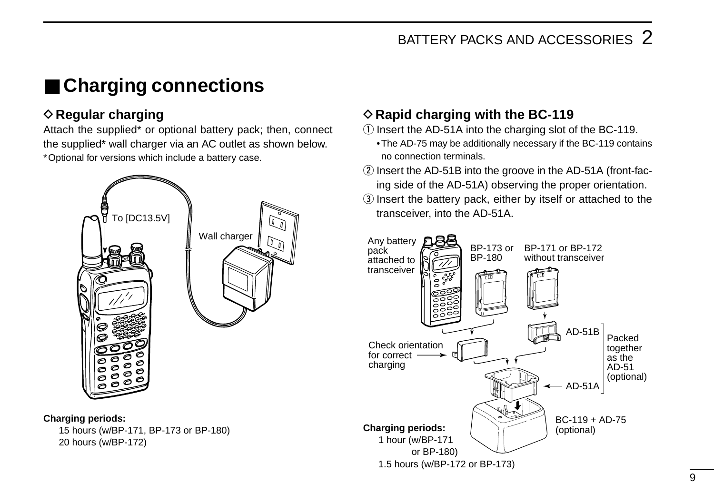## ■ **Charging connections**

## **♦ Regular charging**

Attach the supplied\* or optional battery pack; then, connect the supplied\* wall charger via an AC outlet as shown below. \*Optional for versions which include a battery case.



#### **Charging periods:**

15 hours (w/BP-171, BP-173 or BP-180) 20 hours (w/BP-172)

### **♦ Rapid charging with the BC-119**

 $\circ$  Insert the AD-51A into the charging slot of the BC-119.

- •The AD-75 may be additionally necessary if the BC-119 contains no connection terminals.
- $\Omega$  Insert the AD-51B into the groove in the AD-51A (front-facing side of the AD-51A) observing the proper orientation.
- **3** Insert the battery pack, either by itself or attached to the transceiver, into the AD-51A.

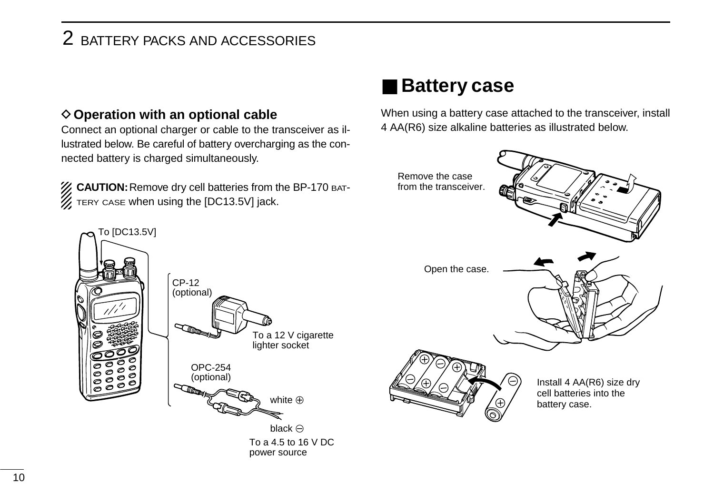#### **♦ Operation with an optional cable**

Connect an optional charger or cable to the transceiver as illustrated below. Be careful of battery overcharging as the connected battery is charged simultaneously.

**Z CAUTION:** Remove dry cell batteries from the BP-170 ват- $\mathcal{U}$  TERY CASE when using the [DC13.5V] jack.

## ■ **Battery case**

When using a battery case attached to the transceiver, install 4 AA(R6) size alkaline batteries as illustrated below.

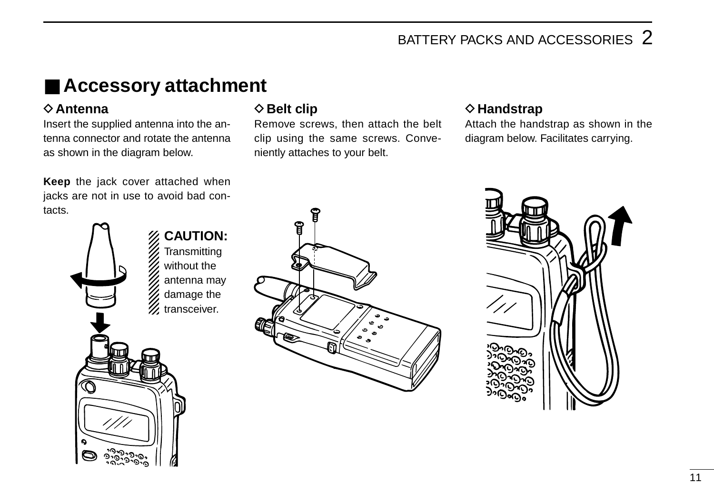## ■ **Accessory attachment**

#### **◇**Antenna

Insert the supplied antenna into the antenna connector and rotate the antenna as shown in the diagram below.

**Keep** the jack cover attached when jacks are not in use to avoid bad contacts.



#### $\diamond$  **Belt clip**

Remove screws, then attach the belt clip using the same screws. Conveniently attaches to your belt.

#### **◇ Handstrap**

Attach the handstrap as shown in the diagram below. Facilitates carrying.



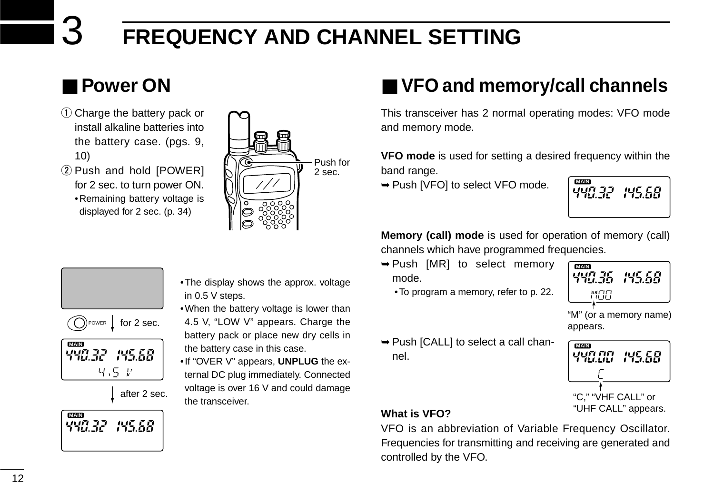## 3 **FREQUENCY AND CHANNEL SETTING**

## ■ **Power ON**

- $(1)$  Charge the battery pack or install alkaline batteries into the battery case. (pgs. 9, 10)
- 2 Push and hold [POWER] for 2 sec. to turn power ON. •Remaining battery voltage is displayed for 2 sec. (p. 34)



## ■ **VFO and memory/call channels**

This transceiver has 2 normal operating modes: VFO mode and memory mode.

**VFO mode** is used for setting a desired frequency within the band range.

➥Push [VFO] to select VFO mode.

**MA**<br>1907-22 045.58<br>1903-2 193.58

**Memory (call) mode** is used for operation of memory (call) channels which have programmed frequencies.

- ➥Push [MR] to select memory mode.
	- •To program a memory, refer to p. 22.



"M" (or a memory name) appears.

- **MAD**<br>1947 CCL 195.58 "C," "VHF CALL" or "UHF CALL" appears.
- ➥Push [CALL] to select a call channel.



#### **What is VFO?**

VFO is an abbreviation of Variable Frequency Oscillator. Frequencies for transmitting and receiving are generated and controlled by the VFO.

POWER for 2 sec. after 2 sec. **MAIN MAIN**

- •The display shows the approx. voltage in 0.5 V steps.
- •When the battery voltage is lower than 4.5 V. "LOW V" appears. Charge the battery pack or place new dry cells in the battery case in this case.
- •If "OVER V" appears, **UNPLUG** the external DC plug immediately. Connected voltage is over 16 V and could damage the transceiver.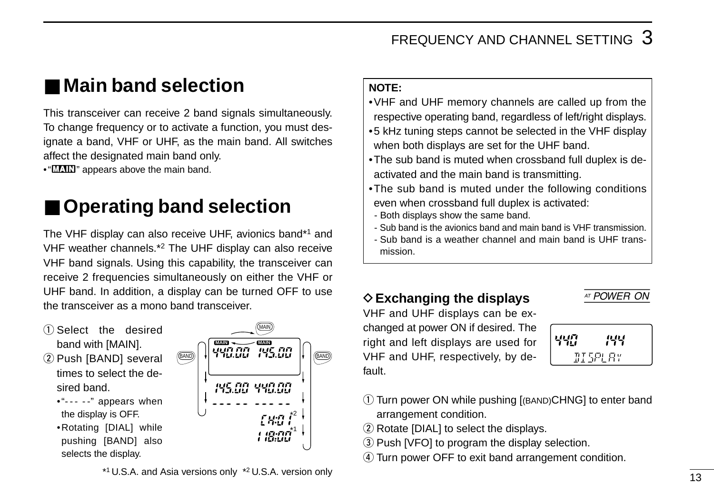## ■ **Main band selection**

This transceiver can receive 2 band signals simultaneously. To change frequency or to activate a function, you must designate a band, VHF or UHF, as the main band. All switches affect the designated main band only.

• "**WAIN**" appears above the main band.

## **Operating band selection**

The VHF display can also receive UHF, avionics band\*1 and VHF weather channels.\*2 The UHF display can also receive VHF band signals. Using this capability, the transceiver can receive 2 frequencies simultaneously on either the VHF or UHF band. In addition, a display can be turned OFF to use the transceiver as a mono band transceiver.

- $\bigcirc$  Select the desired band with [MAIN].
- 2 Push [BAND] several times to select the desired band.
	- $"---"$  appears when the display is OFF.
	- •Rotating [DIAL] while pushing [BAND] also selects the display.



#### **NOTE:**

- •VHF and UHF memory channels are called up from the respective operating band, regardless of left/right displays.
- •5 kHz tuning steps cannot be selected in the VHF display when both displays are set for the UHF band.
- •The sub band is muted when crossband full duplex is deactivated and the main band is transmitting.
- •The sub band is muted under the following conditions even when crossband full duplex is activated:
- Both displays show the same band.
- Sub band is the avionics band and main band is VHF transmission.
- Sub band is a weather channel and main band is UHF transmission.

## ◇ Exchanging the displays <u>AT POWER ON</u>

VHF and UHF displays can be exchanged at power ON if desired. The right and left displays are used for VHF and UHF, respectively, by default.

| 막땀 | 144            |
|----|----------------|
|    | <i>IISPLAY</i> |

- q Turn power ON while pushing [(BAND)CHNG] to enter band arrangement condition.
- 2 Rotate [DIAL] to select the displays.
- 3) Push [VFO] to program the display selection.
- **4**) Turn power OFF to exit band arrangement condition.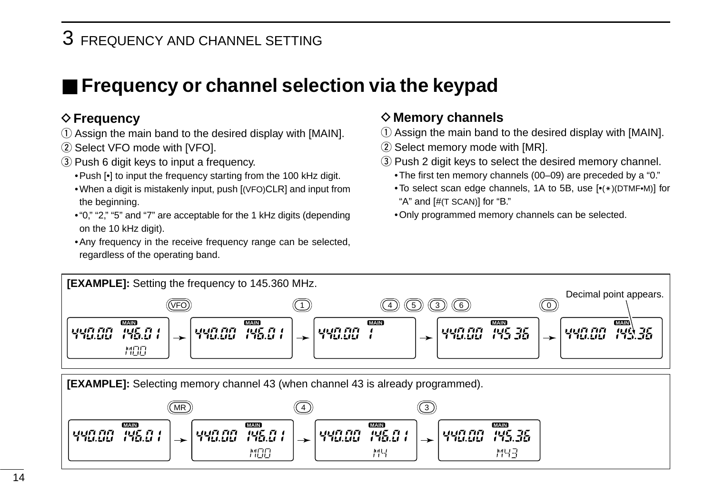## 3 FREQUENCY AND CHANNEL SETTING

## ■ **Frequency or channel selection via the keypad**

#### **◇ Frequency**

- q Assign the main band to the desired display with [MAIN].
- 2 Select VFO mode with [VFO].
- 3) Push 6 digit keys to input a frequency.
	- •Push [•] to input the frequency starting from the 100 kHz digit.
	- •When a digit is mistakenly input, push [(VFO)CLR] and input from the beginning.
	- •"0," "2," "5" and "7" are acceptable for the 1 kHz digits (depending on the 10 kHz digit).
	- •Any frequency in the receive frequency range can be selected, regardless of the operating band.

#### **◇ Memory channels**

- $\Omega$  Assign the main band to the desired display with [MAIN].
- $(2)$  Select memory mode with [MR].
- 3) Push 2 digit keys to select the desired memory channel.
	- •The first ten memory channels (00–09) are preceded by a "0."
	- To select scan edge channels, 1A to 5B, use  $[*(*)$ (DTMF•M)] for "A" and [#(T SCAN)] for "B."
	- •Only programmed memory channels can be selected.



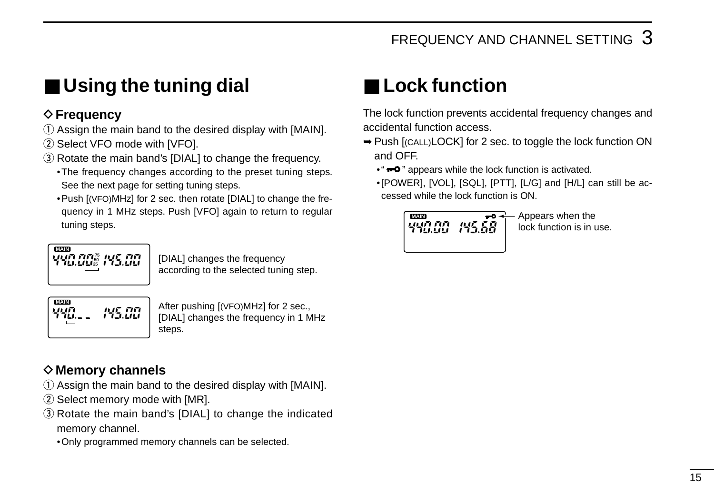## ■ Using the tuning dial

## $♦$  **Frequency**

- $\Omega$  Assign the main band to the desired display with [MAIN].
- 2) Select VFO mode with [VFO].
- (3) Rotate the main band's [DIAL] to change the frequency.
	- •The frequency changes according to the preset tuning steps. See the next page for setting tuning steps.
	- •Push [(VFO)MHz] for 2 sec. then rotate [DIAL] to change the frequency in 1 MHz steps. Push [VFO] again to return to regular tuning steps.

$$
\begin{array}{c}\n\hline\n0000 \\
U111717175 \\
T111.11125 \\
T111.11125\n\end{array}
$$

[DIAL] changes the frequency according to the selected tuning step.



After pushing [(VFO)MHz] for 2 sec., [DIAL] changes the frequency in 1 MHz steps.

## **◇ Memory channels**

- $\Omega$  Assign the main band to the desired display with [MAIN].
- $(2)$  Select memory mode with [MR].
- 3) Rotate the main band's [DIAL] to change the indicated memory channel.
	- •Only programmed memory channels can be selected.

## ■ **Lock function**

The lock function prevents accidental frequency changes and accidental function access.

- ➥Push [(CALL)LOCK] for 2 sec. to toggle the lock function ON and OFF.
	- $\cdot$   $\bullet$   $\bullet$   $\bullet$  appears while the lock function is activated.
	- •[POWER], [VOL], [SQL], [PTT], [L/G] and [H/L] can still be accessed while the lock function is ON.



lock function is in use.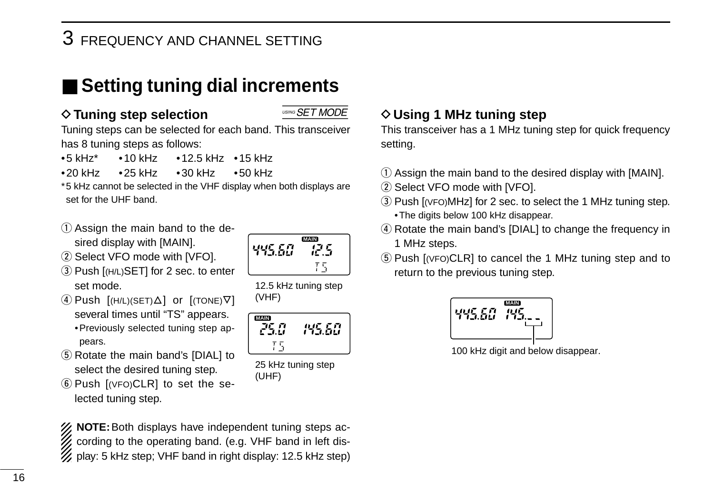## 3 FREQUENCY AND CHANNEL SETTING

## ■ **Setting tuning dial increments**

## $\diamond$  Tuning step selection  $\overline{\phantom{a}\text{sum}\text{SET MODE}}$

Tuning steps can be selected for each band. This transceiver has 8 tuning steps as follows:

- •5 kHz\* •10 kHz •12.5 kHz •15 kHz
- •20 kHz •25 kHz •30 kHz •50 kHz

\*5 kHz cannot be selected in the VHF display when both displays are set for the UHF band.

- $Q$  Assign the main band to the desired display with [MAIN].
- 2 Select VFO mode with [VFO].
- 3) Push [(H/L)SET] for 2 sec. to enter set mode.
- $\Phi$  Push  $[(H/L)(SET) \Delta]$  or  $[(TONE) \nabla]$ several times until "TS" appears. •Previously selected tuning step appears.
- **5** Rotate the main band's [DIAL] to select the desired tuning step.
- $\circ$  Push  $[$ (VFO)CLR] to set the selected tuning step.

 $\%$  **NOTE:** Both displays have independent tuning steps according to the operating band. (e.g. VHF band in left dis- $\mathcal{U}$  play: 5 kHz step; VHF band in right display: 12.5 kHz step)

#### **◇ Using 1 MHz tuning step**

This transceiver has a 1 MHz tuning step for quick frequency setting.

- $\Omega$  Assign the main band to the desired display with [MAIN].
- (2) Select VFO mode with [VFO].
- $\overline{a}$ ) Push  $\overline{a}$  (VFO)MHz] for 2 sec. to select the 1 MHz tuning step. •The digits below 100 kHz disappear.
- 4) Rotate the main band's [DIAL] to change the frequency in 1 MHz steps.
- (5) Push [(VFO)CLR] to cancel the 1 MHz tuning step and to return to the previous tuning step.



100 kHz digit and below disappear.

**MAIN** 445.60 12.5 Ŧ5

12.5 kHz tuning step

895.50

25 kHz tuning step

**MAIN**

75

(UHF)

(VHF)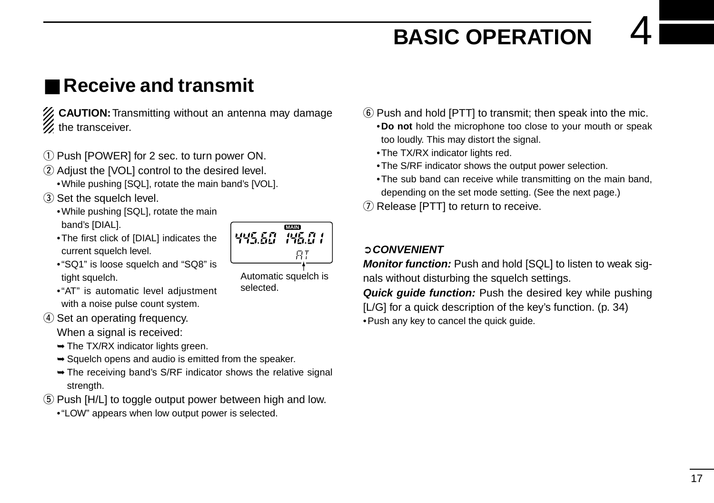## **BASIC OPERATION**

## ■ **Receive and transmit**

- **ZZ CAUTION:** Transmitting without an antenna may damage  $\mathscr{U}$  the transceiver.
- q Push [POWER] for 2 sec. to turn power ON.
- 2 Adjust the [VOL] control to the desired level.
	- •While pushing [SQL], rotate the main band's [VOL].
- 3) Set the squelch level.
	- •While pushing [SQL], rotate the main band's [DIAL].
	- •The first click of [DIAL] indicates the current squelch level.



- •"AT" is automatic level adjustment with a noise pulse count system.
- **4**) Set an operating frequency.

When a signal is received:

- $\rightarrow$  The TX/RX indicator lights green.
- $\rightarrow$  **Squelch opens and audio is emitted from the speaker.**
- $\rightarrow$  The receiving band's S/RF indicator shows the relative signal strength.
- $(5)$  Push [H/L] to toggle output power between high and low.
	- •"LOW" appears when low output power is selected.
- $\circ$  Push and hold [PTT] to transmit; then speak into the mic. •**Do not** hold the microphone too close to your mouth or speak too loudly. This may distort the signal.
	- •The TX/RX indicator lights red.
	- •The S/RF indicator shows the output power selection.
	- •The sub band can receive while transmitting on the main band, depending on the set mode setting. (See the next page.)
- $\Omega$  Release [PTT] to return to receive.

#### ➲**CONVENIENT**

**Monitor function:** Push and hold [SQL] to listen to weak signals without disturbing the squelch settings.

**Quick guide function:** Push the desired key while pushing [L/G] for a quick description of the key's function. (p. 34) •Push any key to cancel the quick guide.

Automatic squelch is selected.

445.60

**MAIN**

**PG.01** 

RI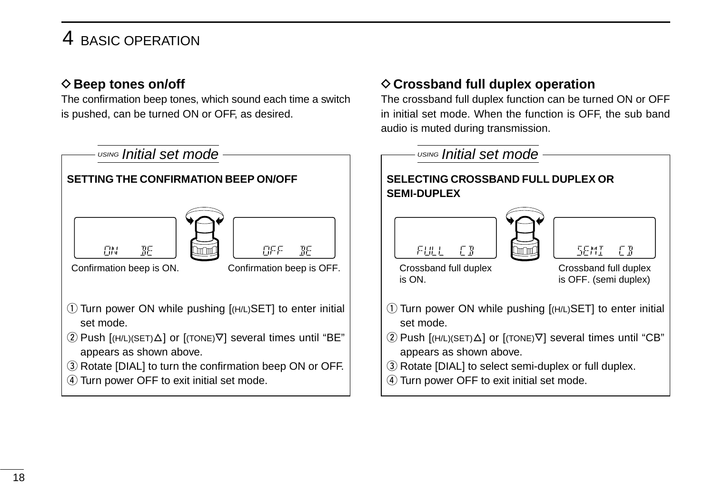## 4 BASIC OPERATION

#### **♦ Beep tones on/off**

The confirmation beep tones, which sound each time a switch is pushed, can be turned ON or OFF, as desired.



**♦ Crossband full duplex operation** 

The crossband full duplex function can be turned ON or OFF in initial set mode. When the function is OFF, the sub band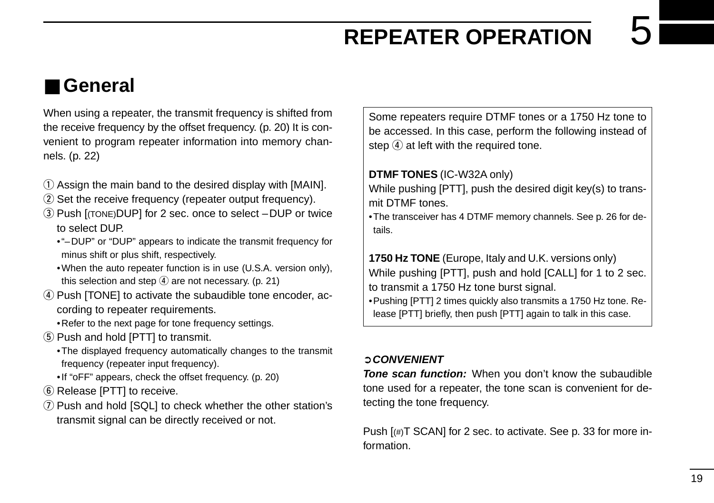## **REPEATER OPERATION**

## ■ **General**

When using a repeater, the transmit frequency is shifted from the receive frequency by the offset frequency. (p. 20) It is convenient to program repeater information into memory channels. (p. 22)

- $\Omega$  Assign the main band to the desired display with [MAIN].
- 2) Set the receive frequency (repeater output frequency).
- e Push [(TONE)DUP] for 2 sec. once to select –DUP or twice to select DUP.
	- •"–DUP" or "DUP" appears to indicate the transmit frequency for minus shift or plus shift, respectively.
	- •When the auto repeater function is in use (U.S.A. version only), this selection and step  $\overline{4}$  are not necessary. (p. 21)
- $\sigma$  Push [TONE] to activate the subaudible tone encoder, according to repeater requirements.
	- •Refer to the next page for tone frequency settings.
- **5** Push and hold [PTT] to transmit.
	- •The displayed frequency automatically changes to the transmit frequency (repeater input frequency).
	- •If "oFF" appears, check the offset frequency. (p. 20)
- $\circledR$  Release [PTT] to receive.
- $\Omega$  Push and hold [SQL] to check whether the other station's transmit signal can be directly received or not.

Some repeaters require DTMF tones or a 1750 Hz tone to be accessed. In this case, perform the following instead of step  $\left( \widehat{4} \right)$  at left with the required tone.

#### **DTMF TONES** (IC-W32A only)

While pushing [PTT], push the desired digit key(s) to transmit DTMF tones.

•The transceiver has 4 DTMF memory channels. See p. 26 for details.

**1750 Hz TONE** (Europe, Italy and U.K. versions only) While pushing [PTT], push and hold [CALL] for 1 to 2 sec. to transmit a 1750 Hz tone burst signal.

•Pushing [PTT] 2 times quickly also transmits a 1750 Hz tone. Release [PTT] briefly, then push [PTT] again to talk in this case.

#### ➲**CONVENIENT**

**Tone scan function:** When you don't know the subaudible tone used for a repeater, the tone scan is convenient for detecting the tone frequency.

Push  $[(\#)T$  SCAN] for 2 sec. to activate. See p. 33 for more information.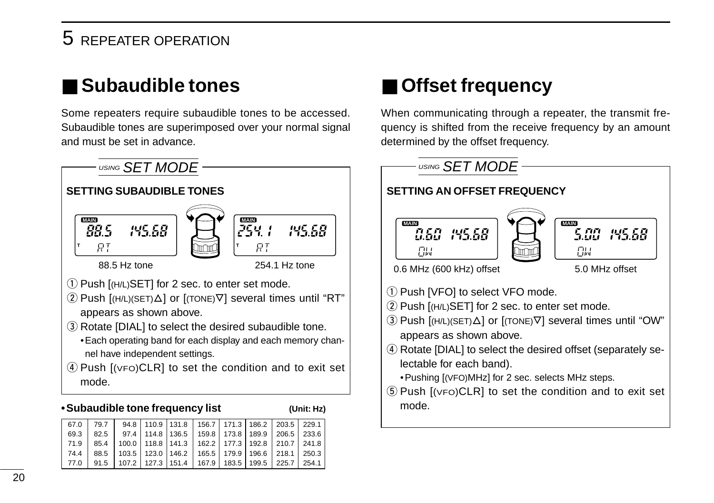## 5 REPEATER OPERATION

## ■ Subaudible tones

Some repeaters require subaudible tones to be accessed. Subaudible tones are superimposed over your normal signal and must be set in advance.



#### **•Subaudible tone frequency list (Unit: Hz)**

|  | 67.0 79.7 94.8 110.9 131.8 156.7 171.3 186.2 203.5 229.1                    |  |  |  |  |
|--|-----------------------------------------------------------------------------|--|--|--|--|
|  | 69.3   82.5   97.4   114.8   136.5   159.8   173.8   189.9   206.5   233.6  |  |  |  |  |
|  | 71.9   85.4   100.0   118.8   141.3   162.2   177.3   192.8   210.7   241.8 |  |  |  |  |
|  | 74.4   88.5   103.5   123.0   146.2   165.5   179.9   196.6   218.1   250.3 |  |  |  |  |
|  | 77.0 91.5 107.2 127.3 151.4 167.9 183.5 199.5 225.7 254.1                   |  |  |  |  |

## ■ **Offset frequency**

When communicating through a repeater, the transmit frequency is shifted from the receive frequency by an amount determined by the offset frequency.

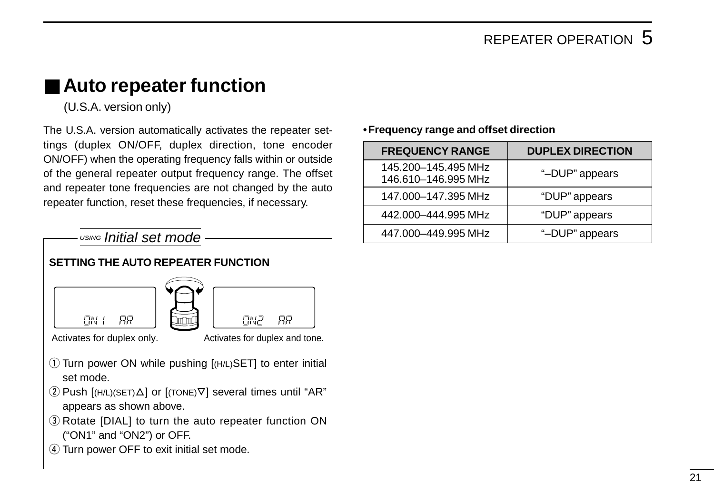## ■ Auto repeater function

(U.S.A. version only)

The U.S.A. version automatically activates the repeater settings (duplex ON/OFF, duplex direction, tone encoder ON/OFF) when the operating frequency falls within or outside of the general repeater output frequency range. The offset and repeater tone frequencies are not changed by the auto repeater function, reset these frequencies, if necessary.



#### **•Frequency range and offset direction**

| <b>FREQUENCY RANGE</b>                     | <b>DUPLEX DIRECTION</b> |
|--------------------------------------------|-------------------------|
| 145.200-145.495 MHz<br>146.610-146.995 MHz | "-DUP" appears          |
| 147.000-147.395 MHz                        | "DUP" appears           |
| 442.000-444.995 MHz                        | "DUP" appears           |
| 447.000-449.995 MHz                        | "-DUP" appears          |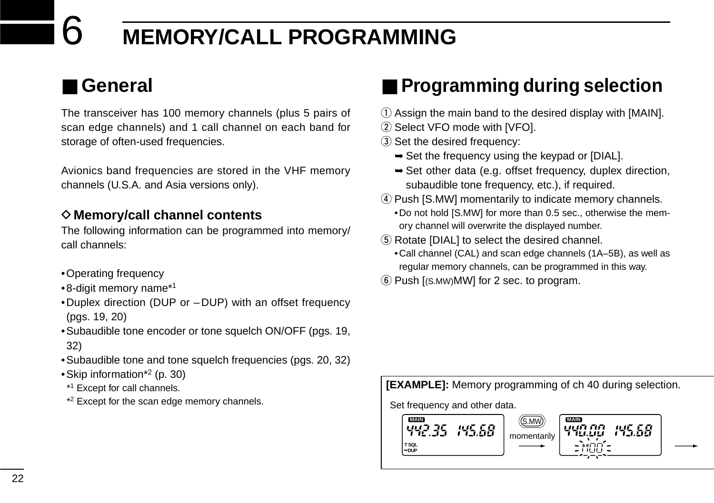## 6 **MEMORY/CALL PROGRAMMING**

## ■ **General**

The transceiver has 100 memory channels (plus 5 pairs of scan edge channels) and 1 call channel on each band for storage of often-used frequencies.

Avionics band frequencies are stored in the VHF memory channels (U.S.A. and Asia versions only).

#### **◇ Memory/call channel contents**

The following information can be programmed into memory/ call channels:

- •Operating frequency
- •8-digit memory name\*1
- •Duplex direction (DUP or DUP) with an offset frequency (pgs. 19, 20)
- •Subaudible tone encoder or tone squelch ON/OFF (pgs. 19, 32)
- •Subaudible tone and tone squelch frequencies (pgs. 20, 32)
- •Skip information\*2 (p. 30)
- \*1 Except for call channels.
- \*2 Except for the scan edge memory channels.

## ■ **Programming during selection**

- $\Omega$  Assign the main band to the desired display with [MAIN].
- 2 Select VFO mode with [VFO].
- 3 Set the desired frequency:
	- ➥Set the frequency using the keypad or [DIAL].
	- ➥Set other data (e.g. offset frequency, duplex direction, subaudible tone frequency, etc.), if required.
- (4) Push [S.MW] momentarily to indicate memory channels. •Do not hold [S.MW] for more than 0.5 sec., otherwise the memory channel will overwrite the displayed number.
- **5** Rotate [DIAL] to select the desired channel.
	- •Call channel (CAL) and scan edge channels (1A–5B), as well as regular memory channels, can be programmed in this way.
- $(6)$  Push  $[(S.MW)MW]$  for 2 sec. to program.

#### **[EXAMPLE]:** Memory programming of ch 40 during selection.

Set frequency and other data.

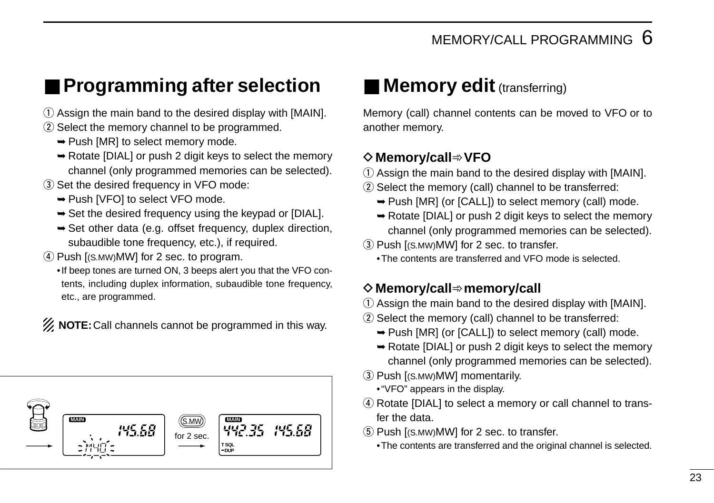## ■ **Programming after selection**

- $\Omega$  Assign the main band to the desired display with [MAIN].
- 2 Select the memory channel to be programmed.
	- ➥Push [MR] to select memory mode.
	- ➥Rotate [DIAL] or push 2 digit keys to select the memory channel (only programmed memories can be selected).
- 3) Set the desired frequency in VFO mode:
	- ➥Push [VFO] to select VFO mode.
	- ➥Set the desired frequency using the keypad or [DIAL].
	- ➥Set other data (e.g. offset frequency, duplex direction, subaudible tone frequency, etc.), if required.
- 4) Push [(S.MW)MW] for 2 sec. to program.
	- •If beep tones are turned ON, 3 beeps alert you that the VFO contents, including duplex information, subaudible tone frequency, etc., are programmed.

**Z** NOTE: Call channels cannot be programmed in this way.



## ■ **Memory edit** (transferring)

Memory (call) channel contents can be moved to VFO or to another memory.

#### D**Memory/call**➾**VFO**

- $\Omega$  Assign the main band to the desired display with [MAIN].
- $(2)$  Select the memory (call) channel to be transferred:
	- ➥Push [MR] (or [CALL]) to select memory (call) mode.
	- ➥Rotate [DIAL] or push 2 digit keys to select the memory channel (only programmed memories can be selected).
- 3) Push [(S.MW)MW] for 2 sec. to transfer.
	- •The contents are transferred and VFO mode is selected.

#### D**Memory/call**➾**memory/call**

- $\Omega$  Assign the main band to the desired display with [MAIN].
- 2 Select the memory (call) channel to be transferred:
	- ➥Push [MR] (or [CALL]) to select memory (call) mode.
	- ➥Rotate [DIAL] or push 2 digit keys to select the memory channel (only programmed memories can be selected).
- (3) Push [(S.MW)MW] momentarily.
	- •"VFO" appears in the display.
- 4) Rotate [DIAL] to select a memory or call channel to transfer the data.
- $(5)$  Push  $[(S. MW)$ MW] for 2 sec. to transfer.
	- •The contents are transferred and the original channel is selected.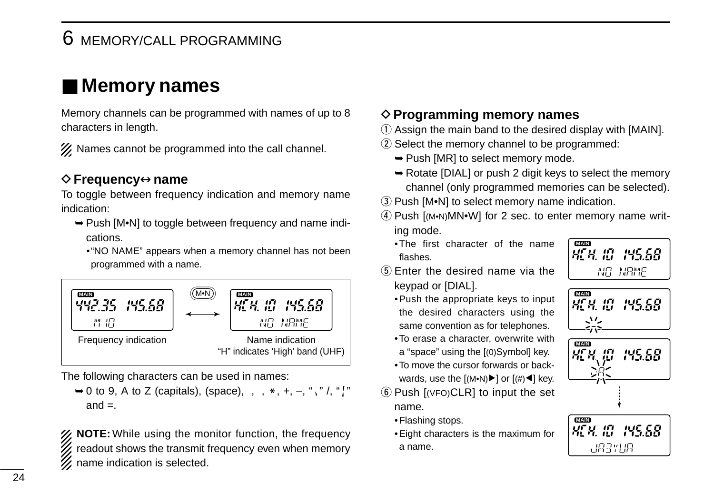## 6 MEMORY/CALL PROGRAMMING

## ■ **Memory names**

Memory channels can be programmed with names of up to 8 characters in length.

X Names cannot be programmed into the call channel.

#### D**Frequency**↔**name**

To toggle between frequency indication and memory name indication:

- ➥Push [M•N] to toggle between frequency and name indications.
	- •"NO NAME" appears when a memory channel has not been programmed with a name.



The following characters can be used in names:

 $\rightarrow$  0 to 9, A to Z (capitals), (space),  $\langle, \rangle$ ,  $\ast$ ,  $+$ ,  $-$ , "," /, "[" and  $=$ .

**XX NOTE:** While using the monitor function, the frequency readout shows the transmit frequency even when memory  $\mathscr{U}$  name indication is selected.

#### **♦ Programming memory names**

- $\Omega$  Assign the main band to the desired display with [MAIN].
- (2) Select the memory channel to be programmed:
	- ➥Push [MR] to select memory mode.
	- ➥Rotate [DIAL] or push 2 digit keys to select the memory channel (only programmed memories can be selected).
- 3) Push [M•N] to select memory name indication.
- $\widehat{A}$  Push  $\widehat{I}$  (M•N)MN•W] for 2 sec. to enter memory name writing mode.
	- •The first character of the name flashes.



- $(5)$  Enter the desired name via the keypad or [DIAL].
	- •Push the appropriate keys to input the desired characters using the same convention as for telephones.
	- •To erase a character, overwrite with a "space" using the [(0)Symbol] key.
	- •To move the cursor forwards or backwards, use the  $[(M•N) \blacktriangleright]$  or  $[(\#)\blacktriangleleft]$  key.
- $\circ$  Push  $[$ (VFO)CLR] to input the set name.
	- •Flashing stops.
	- •Eight characters is the maximum for a name.

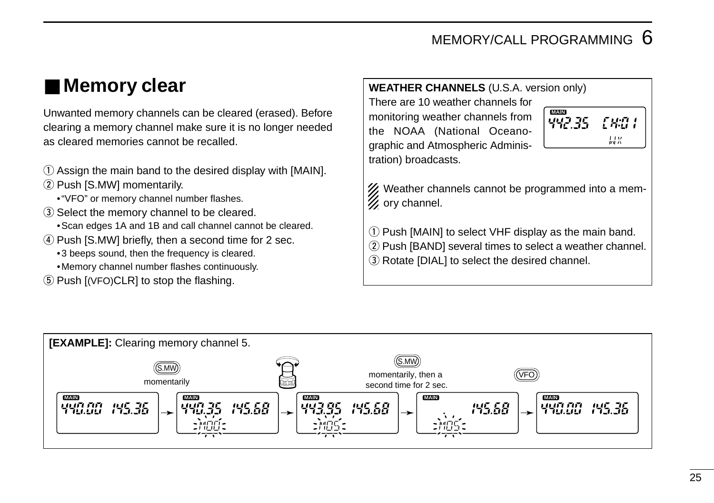## MEMORY/CALL PROGRAMMING  $6$

## ■ **Memory clear**

Unwanted memory channels can be cleared (erased). Before clearing a memory channel make sure it is no longer needed as cleared memories cannot be recalled.

- $\Omega$  Assign the main band to the desired display with [MAIN].
- 2 Push [S.MW] momentarily.
	- •"VFO" or memory channel number flashes.
- (3) Select the memory channel to be cleared.
	- •Scan edges 1A and 1B and call channel cannot be cleared.
- 4) Push [S.MW] briefly, then a second time for 2 sec.
	- •3 beeps sound, then the frequency is cleared.
	- •Memory channel number flashes continuously.
- $(5)$  Push  $[(VPO)CLR]$  to stop the flashing.

#### **WEATHER CHANNELS** (U.S.A. version only)

There are 10 weather channels for monitoring weather channels from the NOAA (National Oceanographic and Atmospheric Administration) broadcasts.



% Weather channels cannot be programmed into a mem- $\mathscr{U}$  ory channel.

q Push [MAIN] to select VHF display as the main band.

- 2 Push [BAND] several times to select a weather channel.
- 3) Rotate [DIAL] to select the desired channel.

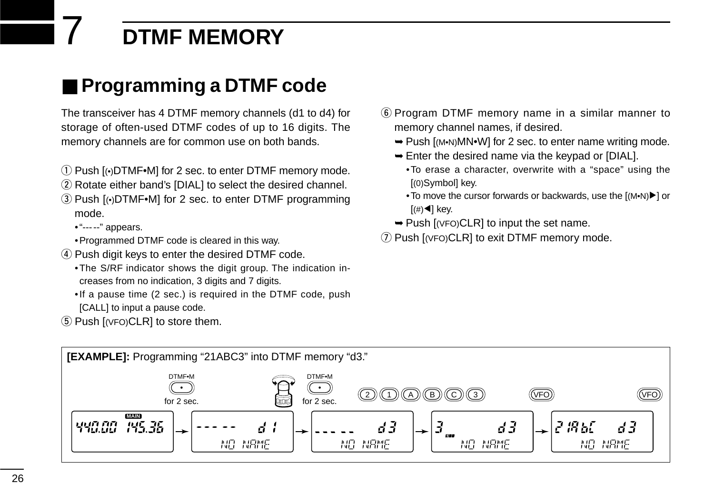## 7 **DTMF MEMORY**

## ■ **Programming a DTMF code**

The transceiver has 4 DTMF memory channels (d1 to d4) for storage of often-used DTMF codes of up to 16 digits. The memory channels are for common use on both bands.

- q Push [(•)DTMF•M] for 2 sec. to enter DTMF memory mode.
- 2) Rotate either band's [DIAL] to select the desired channel.
- $(3)$  Push  $[$ <sup>( $\bullet$ </sup>)DTMF $\bullet$ M] for 2 sec. to enter DTMF programming mode.

• "-----" appears.

- •Programmed DTMF code is cleared in this way.
- $\sigma$  Push digit keys to enter the desired DTMF code.
	- •The S/RF indicator shows the digit group. The indication increases from no indication, 3 digits and 7 digits.
	- •If a pause time (2 sec.) is required in the DTMF code, push [CALL] to input a pause code.
- $(5)$  Push  $I(VFO)CLRI$  to store them.
- y Program DTMF memory name in a similar manner to memory channel names, if desired.
	- ➥Push [(M•N)MN•W] for 2 sec. to enter name writing mode.
	- ➥Enter the desired name via the keypad or [DIAL].
		- •To erase a character, overwrite with a "space" using the [(0)Symbol] key.
		- To move the cursor forwards or backwards, use the [(M•N)▶] or  $[(\#)\blacktriangleleft]$  key.
	- ➥Push [(VFO)CLR] to input the set name.
- $\overline{O}$  Push [(VFO)CLR] to exit DTMF memory mode.

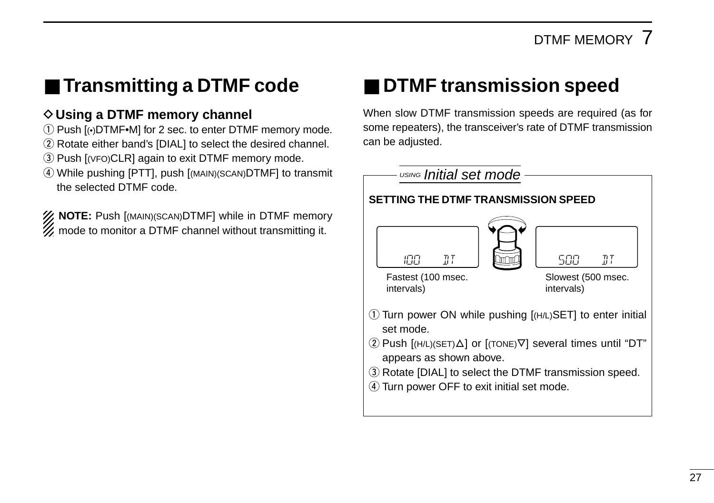## ■ **Transmitting a DTMF code**

#### **◇ Using a DTMF memory channel**

- q Push [(•)DTMF•M] for 2 sec. to enter DTMF memory mode.
- (2) Rotate either band's [DIAL] to select the desired channel.
- 3) Push [(VFO)CLR] again to exit DTMF memory mode.
- r While pushing [PTT], push [(MAIN)(SCAN)DTMF] to transmit the selected DTMF code.

**Z NOTE:** Push [(MAIN)(SCAN)DTMF] while in DTMF memory **Z** mode to monitor a DTMF channel without transmitting it.

## ■ **DTMF** transmission speed

When slow DTMF transmission speeds are required (as for some repeaters), the transceiver's rate of DTMF transmission can be adjusted.

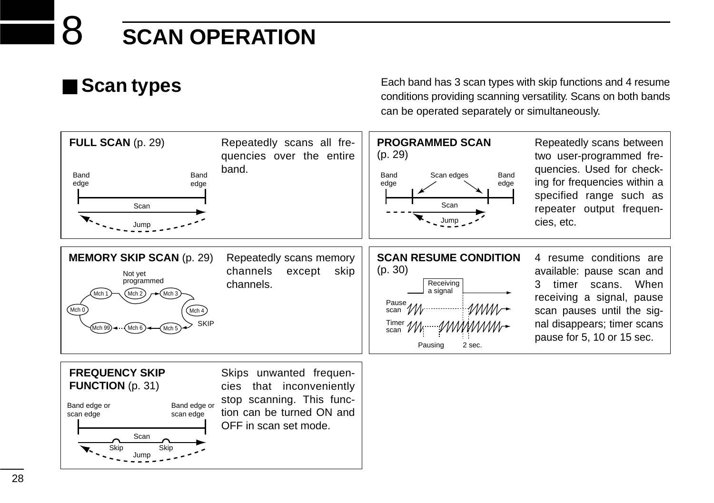## ■ **Scan types**

Each band has 3 scan types with skip functions and 4 resume conditions providing scanning versatility. Scans on both bands can be operated separately or simultaneously.

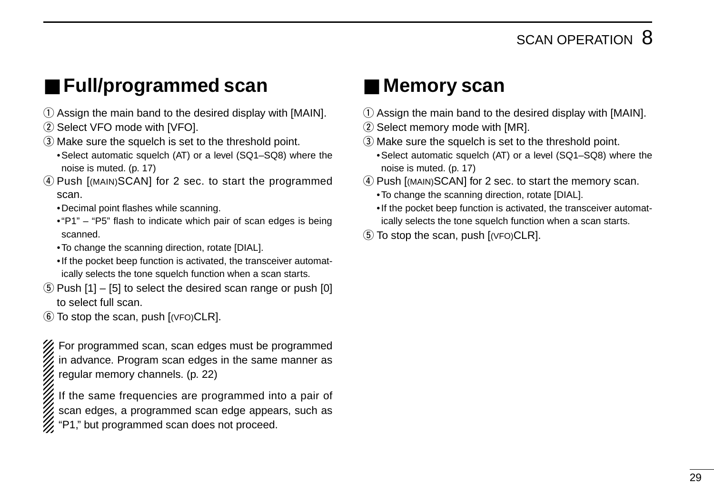## ■ **Full/programmed scan**

- $\Omega$  Assign the main band to the desired display with [MAIN].
- 2 Select VFO mode with [VFO].
- 3) Make sure the squelch is set to the threshold point.
	- •Select automatic squelch (AT) or a level (SQ1–SQ8) where the noise is muted. (p. 17)
- 4) Push [(MAIN)SCAN] for 2 sec. to start the programmed scan.
	- •Decimal point flashes while scanning.
	- •"P1" "P5" flash to indicate which pair of scan edges is being scanned.
	- •To change the scanning direction, rotate [DIAL].
	- •If the pocket beep function is activated, the transceiver automatically selects the tone squelch function when a scan starts.
- $(5)$  Push  $[1]$   $[5]$  to select the desired scan range or push  $[0]$ to select full scan.
- $\circ$  To stop the scan, push  $[(VFO)CLR]$ .

For programmed scan, scan edges must be programmed in advance. Program scan edges in the same manner as regular memory channels. (p. 22)

If the same frequencies are programmed into a pair of scan edges, a programmed scan edge appears, such as "P1," but programmed scan does not proceed.

## ■ Memory scan

- $\Omega$  Assign the main band to the desired display with [MAIN].
- 2 Select memory mode with [MR].
- e Make sure the squelch is set to the threshold point.
- •Select automatic squelch (AT) or a level (SQ1–SQ8) where the noise is muted. (p. 17)
- (4) Push [(MAIN)SCAN] for 2 sec. to start the memory scan.
	- •To change the scanning direction, rotate [DIAL].
	- •If the pocket beep function is activated, the transceiver automatically selects the tone squelch function when a scan starts.
- $\circ$  To stop the scan, push  $[$ ( $VFO$ )CLR].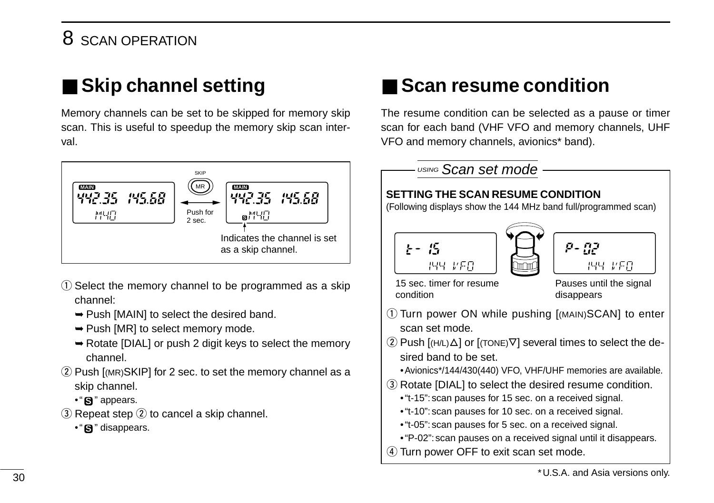## 8 SCAN OPERATION

## ■ **Skip channel setting**

Memory channels can be set to be skipped for memory skip scan. This is useful to speedup the memory skip scan interval.



- $\Omega$  Select the memory channel to be programmed as a skip channel:
	- ➥Push [MAIN] to select the desired band.
	- ➥Push [MR] to select memory mode.
	- ➥Rotate [DIAL] or push 2 digit keys to select the memory channel.
- $(2)$  Push [(MR)SKIP] for 2 sec. to set the memory channel as a skip channel.
	- •"**S**" appears.
- $\ddot{\text{R}}$  Repeat step  $\ddot{\text{R}}$  to cancel a skip channel.
	- •" $\mathbf{S}$ " disappears.

## ■ **Scan resume condition**

The resume condition can be selected as a pause or timer scan for each band (VHF VFO and memory channels, UHF VFO and memory channels, avionics\* band).

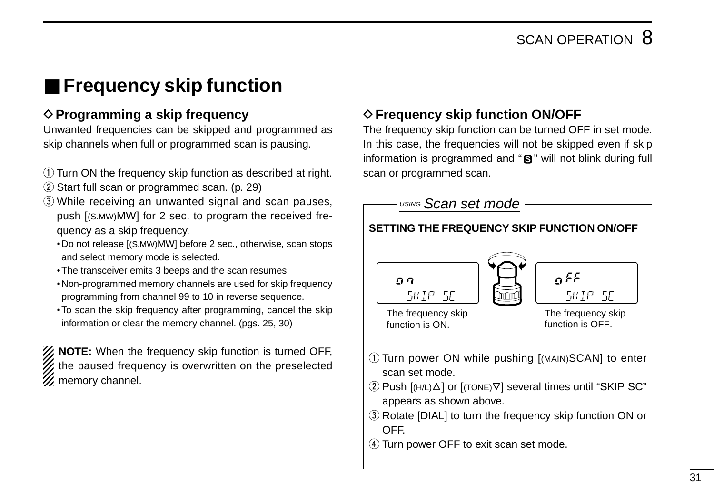## ■ **Frequency skip function**

#### **◇ Programming a skip frequency**

Unwanted frequencies can be skipped and programmed as skip channels when full or programmed scan is pausing.

- $\Omega$  Turn ON the frequency skip function as described at right.
- $(2)$  Start full scan or programmed scan. (p. 29)
- e While receiving an unwanted signal and scan pauses, push [(S.MW)MW] for 2 sec. to program the received frequency as a skip frequency.
	- •Do not release [(S.MW)MW] before 2 sec., otherwise, scan stops and select memory mode is selected.
	- •The transceiver emits 3 beeps and the scan resumes.
	- •Non-programmed memory channels are used for skip frequency programming from channel 99 to 10 in reverse sequence.
	- •To scan the skip frequency after programming, cancel the skip information or clear the memory channel. (pgs. 25, 30)

**NOTE:** When the frequency skip function is turned OFF, the paused frequency is overwritten on the preselected  $\mathscr{U}$  memory channel.

### **♦ Frequency skip function ON/OFF**

The frequency skip function can be turned OFF in set mode. In this case, the frequencies will not be skipped even if skip information is programmed and "**S**" will not blink during full scan or programmed scan.

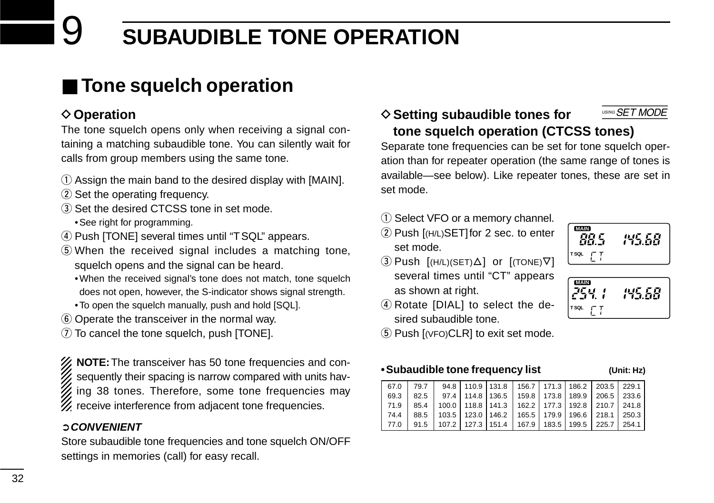## 9 **SUBAUDIBLE TONE OPERATION**

## ■ **Tone squelch operation**

### **♦ Operation**

The tone squelch opens only when receiving a signal containing a matching subaudible tone. You can silently wait for calls from group members using the same tone.

- $\Omega$  Assign the main band to the desired display with [MAIN].
- (2) Set the operating frequency.
- (3) Set the desired CTCSS tone in set mode. •See right for programming.
- 4) Push [TONE] several times until "TSQL" appears.
- $S$  When the received signal includes a matching tone, squelch opens and the signal can be heard.
	- •When the received signal's tone does not match, tone squelch does not open, however, the S-indicator shows signal strength.
	- •To open the squelch manually, push and hold [SQL].
- **6** Operate the transceiver in the normal way.
- $\overline{2}$  To cancel the tone squelch, push [TONE].

**NOTE:**The transceiver has 50 tone frequencies and consequently their spacing is narrow compared with units having 38 tones. Therefore, some tone frequencies may  $\mathscr U$  receive interference from adjacent tone frequencies.

#### ➲**CONVENIENT**

Store subaudible tone frequencies and tone squelch ON/OFF settings in memories (call) for easy recall.

#### **♦ Setting subaudible tones for tone squelch operation (CTCSS tones)** USING SET MODE

Separate tone frequencies can be set for tone squelch operation than for repeater operation (the same range of tones is available—see below). Like repeater tones, these are set in set mode.

- 1) Select VFO or a memory channel.
- 2 Push [(H/L)SET] for 2 sec. to enter set mode.



**MAIN**<br>254.1 **T SQL**

- $\Omega$  Push  $[(H/L)(SET)\Delta]$  or  $[(TONE)\nabla]$ several times until "CT" appears as shown at right.
- 4) Rotate [DIAL] to select the desired subaudible tone.
- $5$  Push  $[$ (VFO)CLR] to exit set mode.

#### **•Subaudible tone frequency list (Unit: Hz)**

85.58

|        | 67.0 79.7                                                                   |  |  |  | 94.8 110.9 131.8 156.7 171.3 186.2 203.5 229.1                       |  |
|--------|-----------------------------------------------------------------------------|--|--|--|----------------------------------------------------------------------|--|
| 69.3   | 82.5   97.4   114.8   136.5   159.8   173.8   189.9   206.5   233.6         |  |  |  |                                                                      |  |
| 71.9 L |                                                                             |  |  |  | 85.4   100.0   118.8   141.3   162.2   177.3   192.8   210.7   241.8 |  |
|        | 74.4   88.5   103.5   123.0   146.2   165.5   179.9   196.6   218.1   250.3 |  |  |  |                                                                      |  |
| 177.0  |                                                                             |  |  |  | 91.5   107.2   127.3   151.4   167.9   183.5   199.5   225.7   254.1 |  |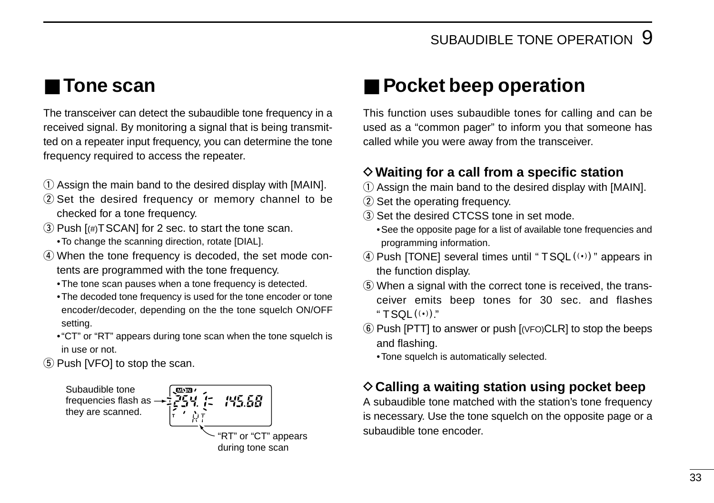## ■ **Tone scan**

The transceiver can detect the subaudible tone frequency in a received signal. By monitoring a signal that is being transmitted on a repeater input frequency, you can determine the tone frequency required to access the repeater.

- $\Omega$  Assign the main band to the desired display with [MAIN].
- 2) Set the desired frequency or memory channel to be checked for a tone frequency.
- $\Im$  Push  $[(\#)TSCAN]$  for 2 sec. to start the tone scan.
	- •To change the scanning direction, rotate [DIAL].
- (4) When the tone frequency is decoded, the set mode contents are programmed with the tone frequency.
	- •The tone scan pauses when a tone frequency is detected.
	- •The decoded tone frequency is used for the tone encoder or tone encoder/decoder, depending on the the tone squelch ON/OFF setting.
	- •"CT" or "RT" appears during tone scan when the tone squelch is in use or not.
- (5) Push [VFO] to stop the scan.



## ■ **Pocket beep operation**

This function uses subaudible tones for calling and can be used as a "common pager" to inform you that someone has called while you were away from the transceiver.

#### D**Waiting for a call from a specific station**

- $\Omega$  Assign the main band to the desired display with [MAIN].
- (2) Set the operating frequency.
- $\Omega$  Set the desired CTCSS tone in set mode.
	- •See the opposite page for a list of available tone frequencies and programming information.
- $\Phi$  Push [TONE] several times until "TSQL $(\cdot)$ " appears in the function display.
- **(5) When a signal with the correct tone is received, the trans**ceiver emits beep tones for 30 sec. and flashes "  $TSOL((•))$ "
- $\circ$  Push [PTT] to answer or push  $[$  (VFO)CLR] to stop the beeps and flashing.
	- •Tone squelch is automatically selected.

#### **♦ Calling a waiting station using pocket beep**

A subaudible tone matched with the station's tone frequency is necessary. Use the tone squelch on the opposite page or a subaudible tone encoder.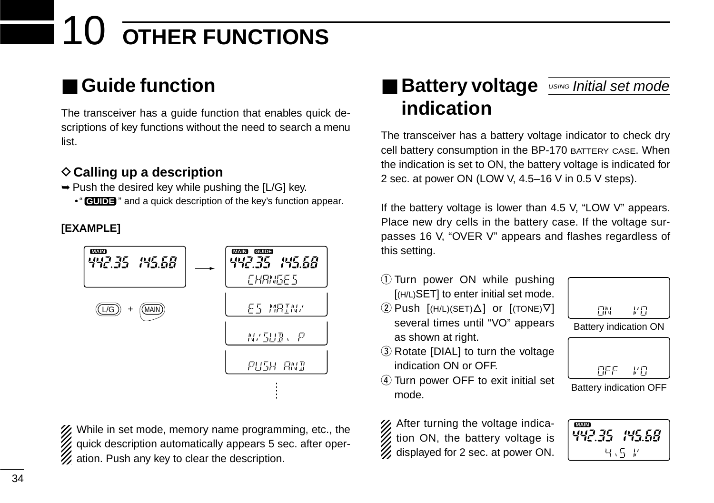# **OTHER FUNCTIONS**

## ■ Guide function

The transceiver has a guide function that enables quick descriptions of key functions without the need to search a menu list.

#### **♦ Calling up a description**

- $\rightarrow$  Push the desired key while pushing the [L/G] key.
	- "**GUIDE**" and a quick description of the key's function appear.

#### **[EXAMPLE]**



% While in set mode, memory name programming, etc., the quick description automatically appears 5 sec. after oper- $\mathcal{U}$  ation. Push any key to clear the description.

## ■ Battery voltage *<u>USING Initial set mode</u>* **indication**

The transceiver has a battery voltage indicator to check dry cell battery consumption in the BP-170 BATTERY CASE. When the indication is set to ON, the battery voltage is indicated for 2 sec. at power ON (LOW V, 4.5–16 V in 0.5 V steps).

If the battery voltage is lower than 4.5 V, "LOW V" appears. Place new dry cells in the battery case. If the voltage surpasses 16 V, "OVER V" appears and flashes regardless of this setting.

- q Turn power ON while pushing [(H/L)SET] to enter initial set mode.
- $(2)$  Push  $[(H/L)(SET) \Delta]$  or  $[(TONE)\nabla]$ several times until "VO" appears as shown at right.



Battery indication ON

- 3 Rotate [DIAL] to turn the voltage indication ON or OFF.
- 4) Turn power OFF to exit initial set mode.

% After turning the voltage indica- $\mathcal{U}$  tion ON, the battery voltage is  $\mathcal{U}$  displayed for 2 sec. at power ON.

7年 **REE** 

Battery indication OFF

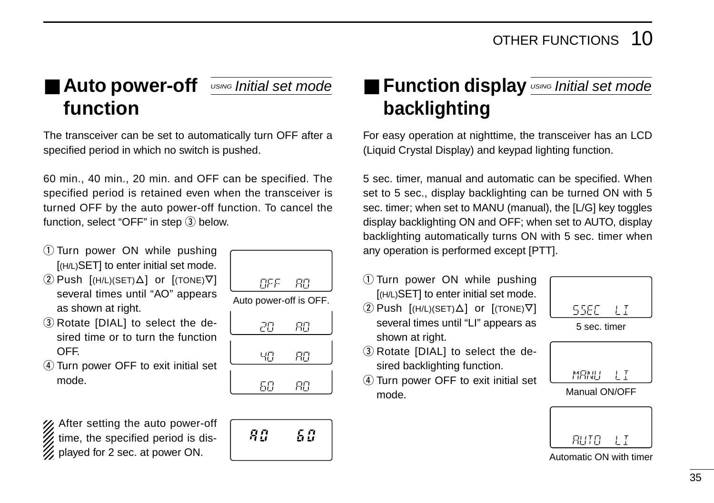## ■ **Auto power-off function**

The transceiver can be set to automatically turn OFF after a specified period in which no switch is pushed.

60 min., 40 min., 20 min. and OFF can be specified. The specified period is retained even when the transceiver is turned OFF by the auto power-off function. To cancel the function, select "OFF" in step  $(3)$  below.

- q Turn power ON while pushing [(H/L)SET] to enter initial set mode.
- $(2)$  Push  $[(H/L)(SET) \Delta]$  or  $[(TONE) \nabla]$ several times until "AO" appears as shown at right.
- 3 Rotate [DIAL] to select the desired time or to turn the function OFF.
- (4) Turn power OFF to exit initial set mode.

After setting the auto power-off time, the specified period is displayed for 2 sec. at power ON.

| OF FI                  | RП |
|------------------------|----|
| Auto power-off is OFF. |    |
| 20                     | RП |
| ЧП                     | RП |
| БΠ                     | {  |

## 50 Яū

## **<u>USING Initial set mode</u> ■ Function display USING Initial set mode backlighting**

For easy operation at nighttime, the transceiver has an LCD (Liquid Crystal Display) and keypad lighting function.

5 sec. timer, manual and automatic can be specified. When set to 5 sec., display backlighting can be turned ON with 5 sec. timer; when set to MANU (manual), the [L/G] key toggles display backlighting ON and OFF; when set to AUTO, display backlighting automatically turns ON with 5 sec. timer when any operation is performed except [PTT].

- q Turn power ON while pushing [(H/L)SET] to enter initial set mode.  $(2)$  Push  $[(H/L)(SET) \Delta]$  or  $[(TOPE) \nabla]$ several times until "LI" appears as
- 3 Rotate [DIAL] to select the desired backlighting function.

shown at right.

(4) Turn power OFF to exit initial set mode.





Manual ON/OFF

| RUTO |  |
|------|--|

Automatic ON with timer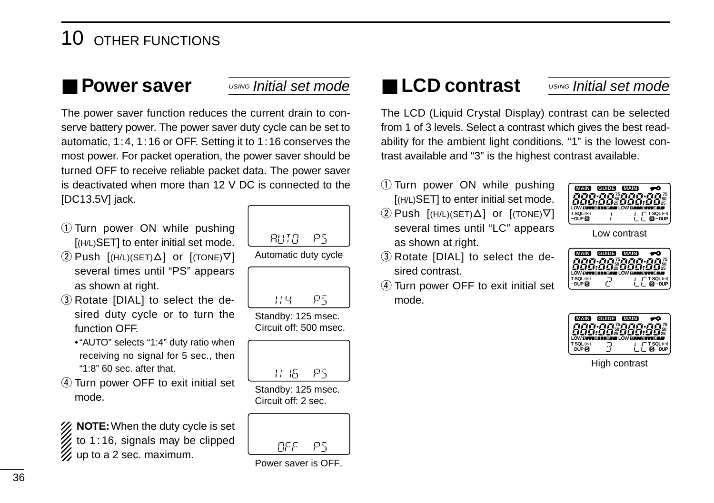## 10 OTHER FUNCTIONS

## ■ **Power saver**

#### USING Initial set mode

The power saver function reduces the current drain to conserve battery power. The power saver duty cycle can be set to automatic, 1:4, 1:16 or OFF. Setting it to 1:16 conserves the most power. For packet operation, the power saver should be turned OFF to receive reliable packet data. The power saver is deactivated when more than 12 V DC is connected to the [DC13.5V] jack.

- q Turn power ON while pushing [(H/L)SET] to enter initial set mode.
- $(2)$  Push  $[(H/L)(SET) \Delta]$  or  $[(TOPE) \nabla]$ several times until "PS" appears as shown at right.
- 3 Rotate [DIAL] to select the desired duty cycle or to turn the function OFF.
	- •"AUTO" selects "1:4" duty ratio when receiving no signal for 5 sec., then "1:8" 60 sec. after that.
- (4) Turn power OFF to exit initial set mode.

*X* NOTE: When the duty cycle is set  $t$  to 1:16, signals may be clipped  $\mathscr{U}$  up to a 2 sec. maximum.



P5 11년

Standby: 125 msec. Circuit off: 500 msec.



Standby: 125 msec. Circuit off: 2 sec.



Power saver is OFF.

## ■ **LCD contrast**

#### USING Initial set mode

The LCD (Liquid Crystal Display) contrast can be selected from 1 of 3 levels. Select a contrast which gives the best readability for the ambient light conditions. "1" is the lowest contrast available and "3" is the highest contrast available.

- q Turn power ON while pushing [(H/L)SET] to enter initial set mode.
- $\Omega$  Push  $[(H/L)(SET)\Delta]$  or  $[(TONE)\nabla]$ several times until "LC" appears as shown at right.

| <b>MAIN</b><br>ana ai<br><b>UDE:00%000:</b><br>Consumering Consumer | <b>GUIDE</b> | <b>MAIN</b><br>ה הזו | 25<br>nru             |
|---------------------------------------------------------------------|--------------|----------------------|-----------------------|
| 'SQL((*))<br><b>DUP R</b>                                           |              |                      | T SQL((*))<br>$R$ DUP |

Low contrast

- 3 Rotate [DIAL] to select the desired contrast.
- (4) Turn power OFF to exit initial set mode.

| TET25 ETET<br>HELELOWER    |
|----------------------------|
|                            |
| <b>BCO</b><br>ean w<br>ær. |
| T SQL((+))                 |
| $B$ DUP                    |
|                            |

| <b>MAIN</b>                 | <b>GUIDE</b> | <b>MAIN</b>   |              |
|-----------------------------|--------------|---------------|--------------|
|                             |              | 75.3<br>ו-דוו |              |
| LOW DESCRIPTION OF LOW PLAT |              |               | 125          |
| TSOL(0)                     |              |               | T SQL((v))   |
|                             |              |               | <b>B</b> DUP |

High contrast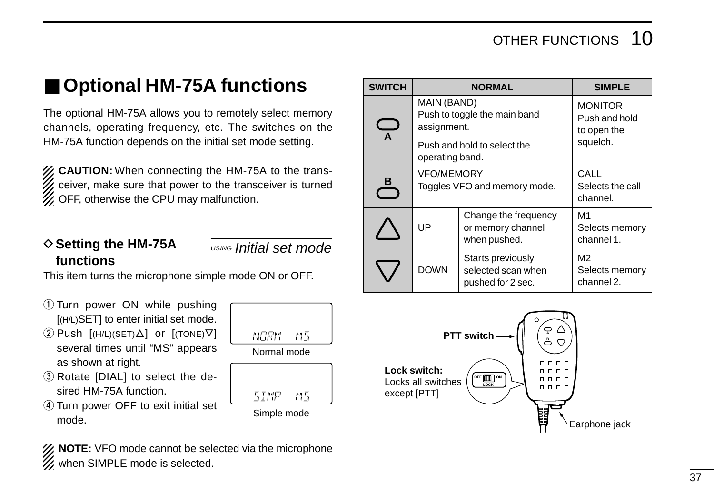## ■ **Optional HM-75A functions**

The optional HM-75A allows you to remotely select memory channels, operating frequency, etc. The switches on the HM-75A function depends on the initial set mode setting.

**ZZ CAUTION:** When connecting the HM-75A to the transceiver, make sure that power to the transceiver is turned  $\mathscr{U}$  OFF, otherwise the CPU may malfunction.

#### **♦ Setting the HM-75A functions**

USING Initial set mode

This item turns the microphone simple mode ON or OFF.

- q Turn power ON while pushing [(H/L)SET] to enter initial set mode.
- $(2)$  Push  $[(H/L)(SET) \Delta]$  or  $[(TOPE) \nabla]$ several times until "MS" appears as shown at right.
- **3**) Rotate [DIAL] to select the desired HM-75A function.
- 4) Turn power OFF to exit initial set mode.



XX NOTE: VFO mode cannot be selected via the microphone  $\mathcal{U}$  when SIMPLE mode is selected.

| <b>SWITCH</b>           |                                                                             | <b>NORMAL</b>                | <b>SIMPLE</b>                                  |
|-------------------------|-----------------------------------------------------------------------------|------------------------------|------------------------------------------------|
| $\overline{\mathbf{A}}$ | MAIN (BAND)<br>Push to toggle the main band<br>assignment.                  |                              | <b>MONITOR</b><br>Push and hold<br>to open the |
|                         | operating band.                                                             | Push and hold to select the  | squelch.                                       |
| <u>_B</u>               | <b>VFO/MEMORY</b>                                                           | Toggles VFO and memory mode. | CALL<br>Selects the call<br>channel.           |
|                         | Change the frequency<br>UP<br>or memory channel<br>when pushed.             |                              | M1<br>Selects memory<br>channel 1.             |
|                         | Starts previously<br><b>DOWN</b><br>selected scan when<br>pushed for 2 sec. |                              | M2<br>Selects memory<br>channel 2.             |

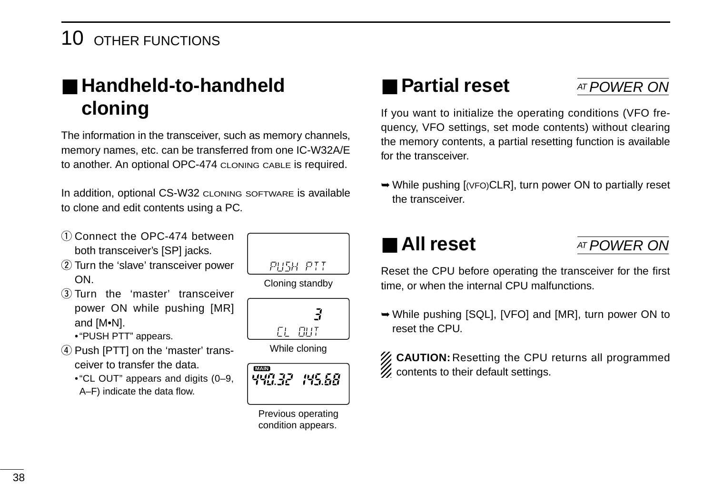## 10 OTHER FUNCTIONS

## ■ **Handheld-to-handheld cloning**

The information in the transceiver, such as memory channels, memory names, etc. can be transferred from one IC-W32A/E to another. An optional OPC-474 CLONING CABLE is required.

In addition, optional CS-W32 CLONING SOFTWARE is available to clone and edit contents using a PC.

- $(1)$  Connect the OPC-474 between both transceiver's [SP] jacks.
- 2 Turn the 'slave' transceiver power ON.
- 3) Turn the 'master' transceiver power ON while pushing [MR] and [M•N]. •"PUSH PTT" appears.
- 4) Push [PTT] on the 'master' trans-
- ceiver to transfer the data.
	- •"CL OUT" appears and digits (0–9, A–F) indicate the data flow.



Cloning standby



While cloning



Previous operating condition appears.

## ■ **Partial reset**

## AT POWER ON

If you want to initialize the operating conditions (VFO frequency, VFO settings, set mode contents) without clearing the memory contents, a partial resetting function is available for the transceiver.

➥While pushing [(VFO)CLR], turn power ON to partially reset the transceiver.

## ■ **All reset**

## AT POWER ON

Reset the CPU before operating the transceiver for the first time, or when the internal CPU malfunctions.

➥While pushing [SQL], [VFO] and [MR], turn power ON to reset the CPU.

| <b>Z</b> CAUTION: Resetting the CPU returns all programmed<br>Z contents to their default settings. |
|-----------------------------------------------------------------------------------------------------|
|                                                                                                     |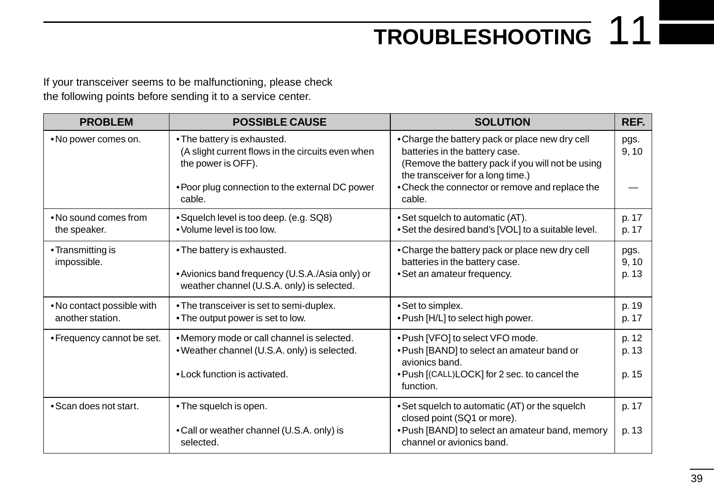# **TROUBLESHOOTING** 11

If your transceiver seems to be malfunctioning, please check the following points before sending it to a service center.

| <b>PROBLEM</b>                                 | <b>POSSIBLE CAUSE</b>                                                                                                                                               | <b>SOLUTION</b>                                                                                                                                                                                                                          | REF.                    |
|------------------------------------------------|---------------------------------------------------------------------------------------------------------------------------------------------------------------------|------------------------------------------------------------------------------------------------------------------------------------------------------------------------------------------------------------------------------------------|-------------------------|
| . No power comes on.                           | • The battery is exhausted.<br>(A slight current flows in the circuits even when<br>the power is OFF).<br>• Poor plug connection to the external DC power<br>cable. | • Charge the battery pack or place new dry cell<br>batteries in the battery case.<br>(Remove the battery pack if you will not be using<br>the transceiver for a long time.)<br>• Check the connector or remove and replace the<br>cable. | pgs.<br>9, 10           |
| • No sound comes from<br>the speaker.          | • Squelch level is too deep. (e.g. SQ8)<br>• Volume level is too low.                                                                                               | • Set squelch to automatic (AT).<br>• Set the desired band's [VOL] to a suitable level.                                                                                                                                                  | p. 17<br>p. 17          |
| • Transmitting is<br>impossible.               | • The battery is exhausted.<br>• Avionics band frequency (U.S.A./Asia only) or<br>weather channel (U.S.A. only) is selected.                                        | • Charge the battery pack or place new dry cell<br>batteries in the battery case.<br>• Set an amateur frequency.                                                                                                                         | pgs.<br>9, 10<br>p. 13  |
| . No contact possible with<br>another station. | • The transceiver is set to semi-duplex.<br>• The output power is set to low.                                                                                       | • Set to simplex.<br>• Push [H/L] to select high power.                                                                                                                                                                                  | p. 19<br>p. 17          |
| • Frequency cannot be set.                     | . Memory mode or call channel is selected.<br>. Weather channel (U.S.A. only) is selected.<br>• Lock function is activated.                                         | . Push [VFO] to select VFO mode.<br>. Push [BAND] to select an amateur band or<br>avionics band.<br>. Push [(CALL)LOCK] for 2 sec. to cancel the<br>function.                                                                            | p. 12<br>p. 13<br>p. 15 |
| • Scan does not start.                         | • The squelch is open.<br>• Call or weather channel (U.S.A. only) is<br>selected.                                                                                   | • Set squelch to automatic (AT) or the squelch<br>closed point (SQ1 or more).<br>• Push [BAND] to select an amateur band, memory<br>channel or avionics band.                                                                            | p. 17<br>p. 13          |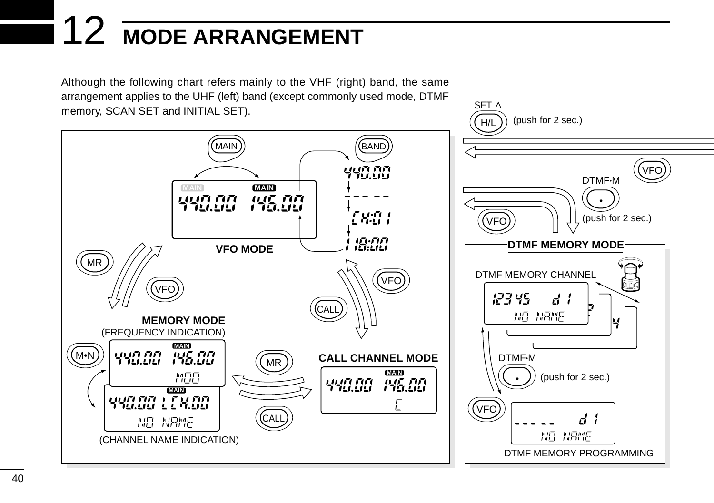# 12 **MODE ARRANGEMENT**

Although the following chart refers mainly to the VHF (right) band, the same arrangement applies to the UHF (left) band (except commonly used mode, DTMF memory, SCAN SET and INITIAL SET).



SET  $\Delta$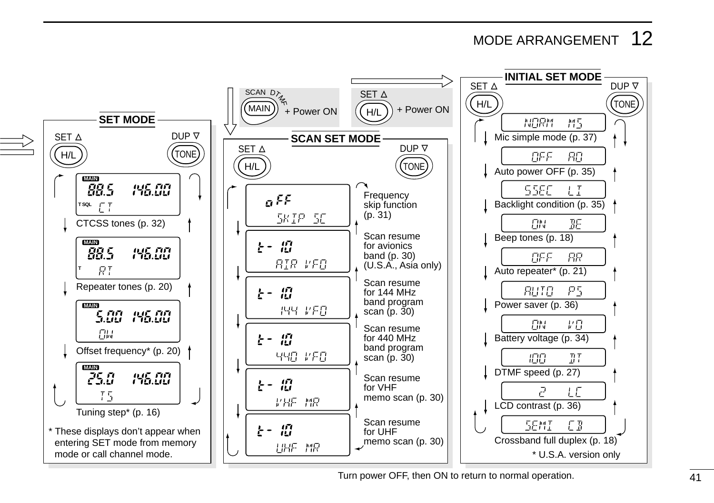## MODE ARRANGEMENT 12



Turn power OFF, then ON to return to normal operation.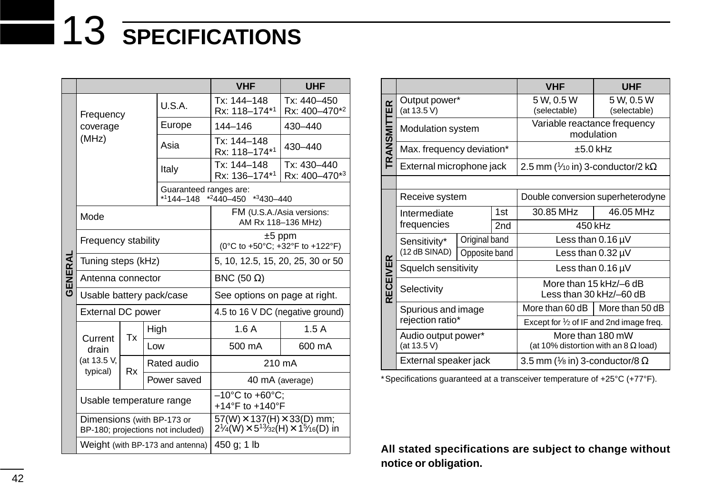# 13 **SPECIFICATIONS**

|         |                                                                 |           |                                  | <b>VHF</b><br><b>UHF</b>                                                                                                                     |                                  |  |
|---------|-----------------------------------------------------------------|-----------|----------------------------------|----------------------------------------------------------------------------------------------------------------------------------------------|----------------------------------|--|
|         | Frequency<br>coverage                                           |           | U.S.A.                           | Tx: 144-148<br>Rx: 118-174*1                                                                                                                 | $Tx: 440 - 450$<br>Rx: 400-470*2 |  |
|         |                                                                 |           | Europe                           | 144-146                                                                                                                                      | 430-440                          |  |
|         | (MHz)                                                           |           | Asia                             | Tx: 144-148<br>430-440<br>Rx: 118-174*1                                                                                                      |                                  |  |
|         |                                                                 |           | Italy                            | Tx: 144-148<br>Tx: 430-440<br>Rx: 136-174*1<br>Rx: 400-470*3                                                                                 |                                  |  |
|         |                                                                 |           | *1144-148                        | Guaranteed ranges are:<br>$*2440 - 450$ $*3430 - 440$                                                                                        |                                  |  |
|         | Mode                                                            |           |                                  | FM (U.S.A./Asia versions:<br>AM Rx 118-136 MHz)                                                                                              |                                  |  |
|         | Frequency stability                                             |           |                                  | $±5$ ppm<br>(0°C to +50°C; +32°F to +122°F)                                                                                                  |                                  |  |
|         | Tuning steps (kHz)                                              |           |                                  | 5, 10, 12.5, 15, 20, 25, 30 or 50                                                                                                            |                                  |  |
| GENERAL | Antenna connector                                               |           |                                  | BNC (50 $\Omega$ )                                                                                                                           |                                  |  |
|         |                                                                 |           | Usable battery pack/case         | See options on page at right.                                                                                                                |                                  |  |
|         | External DC power                                               |           |                                  | 4.5 to 16 V DC (negative ground)                                                                                                             |                                  |  |
|         | Current                                                         | Тx        | High                             | 1.6A                                                                                                                                         | 1.5A                             |  |
|         | drain                                                           |           | Low                              | 500 mA                                                                                                                                       | 600 mA                           |  |
|         | (at 13.5 V,<br>typical)                                         | <b>Rx</b> | Rated audio                      | 210 mA                                                                                                                                       |                                  |  |
|         |                                                                 |           | Power saved                      | 40 mA (average)                                                                                                                              |                                  |  |
|         | Usable temperature range                                        |           |                                  | $-10^{\circ}$ C to +60 $^{\circ}$ C:<br>+14°F to +140°F                                                                                      |                                  |  |
|         | Dimensions (with BP-173 or<br>BP-180; projections not included) |           |                                  | 57(W) X 137(H) X 33(D) mm;<br>$2\frac{1}{4}$ (W) $\times$ 5 <sup>13</sup> / <sub>32</sub> (H) $\times$ 1 <sup>5</sup> / <sub>16</sub> (D) in |                                  |  |
|         |                                                                 |           | Weight (with BP-173 and antenna) | 450 g; 1 lb                                                                                                                                  |                                  |  |

|                    |                               |                     |     | <b>VHF</b>                                           | <b>UHF</b>                                                      |  |
|--------------------|-------------------------------|---------------------|-----|------------------------------------------------------|-----------------------------------------------------------------|--|
|                    | Output power*<br>(at 13.5 V)  |                     |     | 5 W, 0.5 W<br>(selectable)                           | 5 W, 0.5 W<br>(selectable)                                      |  |
| <b>TRANSMITTER</b> | <b>Modulation system</b>      |                     |     | Variable reactance frequency<br>modulation           |                                                                 |  |
|                    | Max. frequency deviation*     |                     |     | $±5.0$ kHz                                           |                                                                 |  |
|                    | External microphone jack      |                     |     | 2.5 mm ( $\frac{1}{40}$ in) 3-conductor/2 k $\Omega$ |                                                                 |  |
|                    |                               |                     |     |                                                      |                                                                 |  |
|                    | Receive system                |                     |     | Double conversion superheterodyne                    |                                                                 |  |
|                    | Intermediate                  |                     | 1st | 30.85 MHz                                            | 46.05 MHz                                                       |  |
|                    | frequencies                   |                     | 2nd | 450 kHz                                              |                                                                 |  |
|                    | Sensitivity*<br>(12 dB SINAD) | Original band       |     | Less than $0.16 \mu V$                               |                                                                 |  |
|                    |                               | Opposite band       |     | Less than $0.32 \mu V$                               |                                                                 |  |
|                    | Squelch sensitivity           |                     |     | Less than $0.16 \mu V$                               |                                                                 |  |
| <b>RECEIVER</b>    | Selectivity                   |                     |     | Less than 30 kHz/-60 dB                              | More than 15 kHz/-6 dB                                          |  |
|                    | Spurious and image            |                     |     | More than 60 dB                                      | More than 50 dB                                                 |  |
|                    | rejection ratio*              |                     |     | Except for $\frac{1}{2}$ of IF and 2nd image freq.   |                                                                 |  |
|                    | (at 13.5 V)                   | Audio output power* |     |                                                      | More than 180 mW<br>(at 10% distortion with an 8 $\Omega$ load) |  |
|                    | External speaker jack         |                     |     | 3.5 mm ( $\frac{1}{8}$ in) 3-conductor/8 $\Omega$    |                                                                 |  |

\*Specifications guaranteed at a transceiver temperature of +25°C (+77°F).

**All stated specifications are subject to change without notice or obligation.**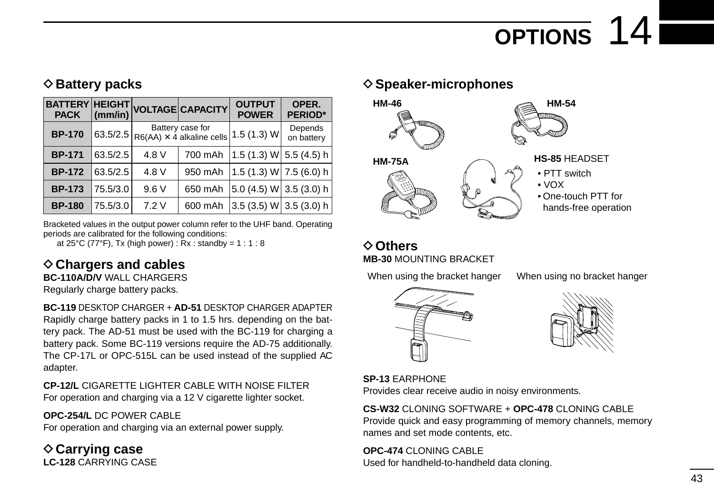# **OPTIONS** 14

### **♦ Battery packs**

| <b>PACK</b>   | $ $ (mm/in) |                                               | BATTERY HEIGHT VOLTAGE CAPACITY | <b>OUTPUT</b><br><b>POWER</b> | OPER.<br><b>PERIOD*</b> |
|---------------|-------------|-----------------------------------------------|---------------------------------|-------------------------------|-------------------------|
| <b>BP-170</b> | 63.5/2.5    | Battery case for<br>R6(AA) X 4 alkaline cells |                                 | 1.5(1.3) W                    | Depends<br>on battery   |
| <b>BP-171</b> | 63.5/2.5    | 4.8 V                                         | 700 mAh                         | 1.5 (1.3) W  5.5 (4.5) h      |                         |
| <b>BP-172</b> | 63.5/2.5    | 4.8 V                                         | 950 mAh                         | $ 1.5(1.3)$ W $ 7.5(6.0)$ h   |                         |
| <b>BP-173</b> | 75.5/3.0    | 9.6V                                          | 650 mAh                         | 5.0 (4.5) W 3.5 (3.0) h       |                         |
| <b>BP-180</b> | 75.5/3.0    | 7.2V                                          | 600 mAh                         | 3.5 (3.5) W 3.5 (3.0) h       |                         |

Bracketed values in the output power column refer to the UHF band. Operating periods are calibrated for the following conditions:

at  $25^{\circ}$ C (77 $^{\circ}$ F), Tx (high power) : Rx : standby = 1 : 1 : 8

### **♦ Chargers and cables**

**BC-110A/D/V** WALL CHARGERS

Regularly charge battery packs.

**BC-119** DESKTOP CHARGER + **AD-51** DESKTOP CHARGER ADAPTER Rapidly charge battery packs in 1 to 1.5 hrs. depending on the battery pack. The AD-51 must be used with the BC-119 for charging a battery pack. Some BC-119 versions require the AD-75 additionally. The CP-17L or OPC-515L can be used instead of the supplied AC adapter.

**CP-12/L** CIGARETTE LIGHTER CABLE WITH NOISE FILTER For operation and charging via a 12 V cigarette lighter socket.

#### **OPC-254/L** DC POWER CABLE

For operation and charging via an external power supply.

**♦ Carrying case LC-128** CARRYING CASE

#### **◇ Speaker-microphones**



#### D**Others MB-30** MOUNTING BRACKET

When using the bracket hanger When using no bracket hanger





**SP-13** EARPHONE

Provides clear receive audio in noisy environments.

#### **CS-W32** CLONING SOFTWARE + **OPC-478** CLONING CABLE

Provide quick and easy programming of memory channels, memory names and set mode contents, etc.

#### **OPC-474** CLONING CABLE

Used for handheld-to-handheld data cloning.